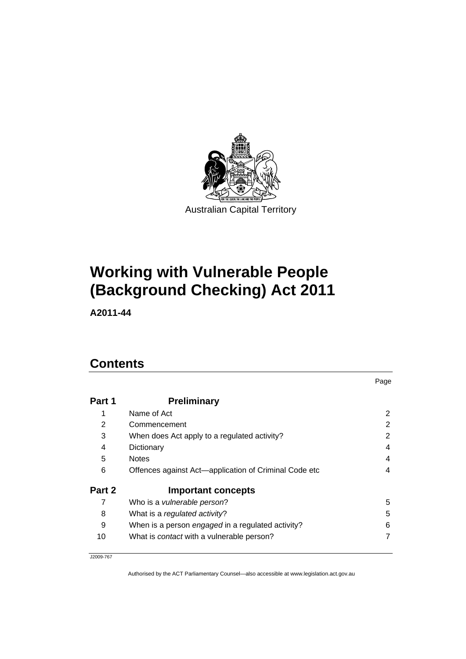

# **Working with Vulnerable People (Background Checking) Act 2011**

**A2011-44** 

# **Contents**

| Part 1 | <b>Preliminary</b>                                    |   |
|--------|-------------------------------------------------------|---|
|        | Name of Act                                           | 2 |
| 2      | Commencement                                          | 2 |
| 3      | When does Act apply to a regulated activity?          | 2 |
| 4      | Dictionary                                            | 4 |
| 5      | <b>Notes</b>                                          | 4 |
| 6      | Offences against Act-application of Criminal Code etc | 4 |
| Part 2 | <b>Important concepts</b>                             |   |
| 7      | Who is a vulnerable person?                           | 5 |
| 8      | What is a regulated activity?                         | 5 |
| 9      | When is a person engaged in a regulated activity?     | 6 |
| 10     | What is <i>contact</i> with a vulnerable person?      | 7 |

Page

J2009-767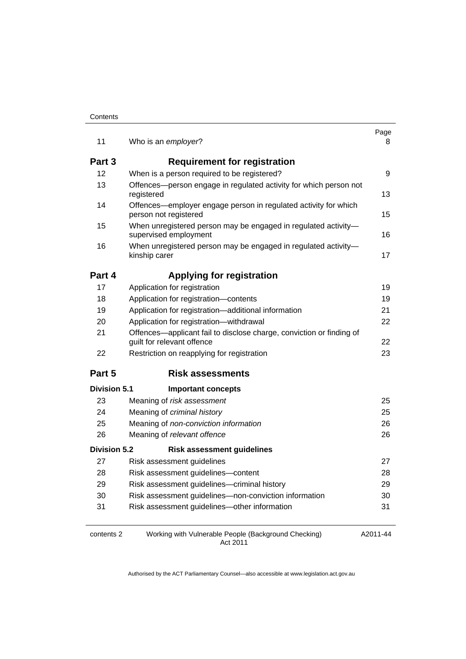| Contents |
|----------|
|----------|

| 11                  | Who is an employer?                                                                                | Page<br>8 |
|---------------------|----------------------------------------------------------------------------------------------------|-----------|
| Part 3              | <b>Requirement for registration</b>                                                                |           |
| 12                  | When is a person required to be registered?                                                        | 9         |
| 13                  | Offences-person engage in regulated activity for which person not                                  |           |
|                     | registered                                                                                         | 13        |
| 14                  | Offences—employer engage person in regulated activity for which<br>person not registered           | 15        |
| 15                  | When unregistered person may be engaged in regulated activity-<br>supervised employment            | 16        |
| 16                  | When unregistered person may be engaged in regulated activity-<br>kinship carer                    | 17        |
| Part 4              | <b>Applying for registration</b>                                                                   |           |
| 17                  | Application for registration                                                                       | 19        |
| 18                  | Application for registration-contents                                                              | 19        |
| 19                  | Application for registration-additional information                                                | 21        |
| 20                  | Application for registration-withdrawal                                                            | 22        |
| 21                  | Offences—applicant fail to disclose charge, conviction or finding of<br>guilt for relevant offence | 22        |
| 22                  | Restriction on reapplying for registration                                                         | 23        |
| Part 5              | <b>Risk assessments</b>                                                                            |           |
| Division 5.1        | <b>Important concepts</b>                                                                          |           |
| 23                  | Meaning of risk assessment                                                                         | 25        |
| 24                  | Meaning of criminal history                                                                        | 25        |
| 25                  | Meaning of non-conviction information                                                              | 26        |
| 26                  | Meaning of relevant offence                                                                        | 26        |
| <b>Division 5.2</b> | <b>Risk assessment guidelines</b>                                                                  |           |
| 27                  | Risk assessment guidelines                                                                         | 27        |
| 28                  | Risk assessment guidelines-content                                                                 | 28        |
| 29                  | Risk assessment guidelines-criminal history                                                        | 29        |
| 30                  | Risk assessment guidelines-non-conviction information                                              | 30        |
| 31                  | Risk assessment guidelines-other information                                                       | 31        |
| contents 2          | Working with Vulnerable People (Background Checking)                                               | A2011-44  |

Act 2011

A2011-44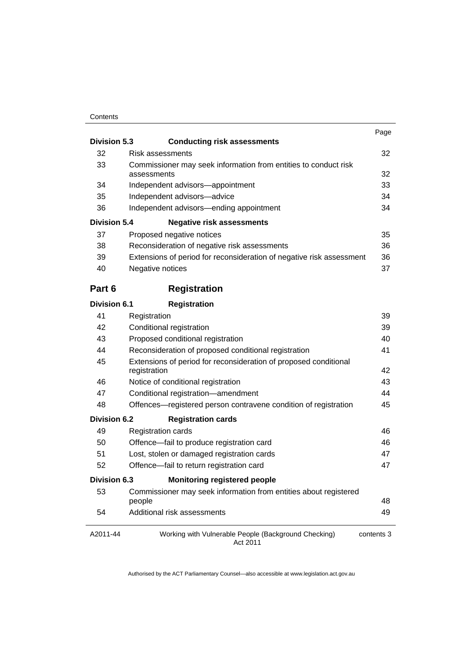#### **Contents**

| <b>Division 5.3</b> | <b>Conducting risk assessments</b>                                               | Page       |
|---------------------|----------------------------------------------------------------------------------|------------|
| 32                  | Risk assessments                                                                 | 32         |
| 33                  | Commissioner may seek information from entities to conduct risk                  |            |
|                     | assessments                                                                      | 32         |
| 34                  | Independent advisors-appointment                                                 | 33         |
| 35                  | Independent advisors-advice                                                      | 34         |
| 36                  | Independent advisors—ending appointment                                          | 34         |
| Division 5.4        | <b>Negative risk assessments</b>                                                 |            |
| 37                  | Proposed negative notices                                                        | 35         |
| 38                  | Reconsideration of negative risk assessments                                     | 36         |
| 39                  | Extensions of period for reconsideration of negative risk assessment             | 36         |
| 40                  | Negative notices                                                                 | 37         |
| Part 6              | <b>Registration</b>                                                              |            |
| <b>Division 6.1</b> | <b>Registration</b>                                                              |            |
| 41                  | Registration                                                                     | 39         |
| 42                  | Conditional registration                                                         | 39         |
| 43                  | Proposed conditional registration                                                | 40         |
| 44                  | Reconsideration of proposed conditional registration                             | 41         |
| 45                  | Extensions of period for reconsideration of proposed conditional<br>registration | 42         |
| 46                  | Notice of conditional registration                                               | 43         |
| 47                  | Conditional registration-amendment                                               | 44         |
| 48                  | Offences—registered person contravene condition of registration                  | 45         |
| Division 6.2        | <b>Registration cards</b>                                                        |            |
| 49                  | <b>Registration cards</b>                                                        | 46         |
| 50                  | Offence-fail to produce registration card                                        | 46         |
| 51                  | Lost, stolen or damaged registration cards                                       | 47         |
| 52                  | Offence-fail to return registration card                                         | 47         |
| Division 6.3        | <b>Monitoring registered people</b>                                              |            |
| 53                  | Commissioner may seek information from entities about registered<br>people       | 48         |
| 54                  | Additional risk assessments                                                      | 49         |
| A2011-44            | Working with Vulnerable People (Background Checking)<br>Act 2011                 | contents 3 |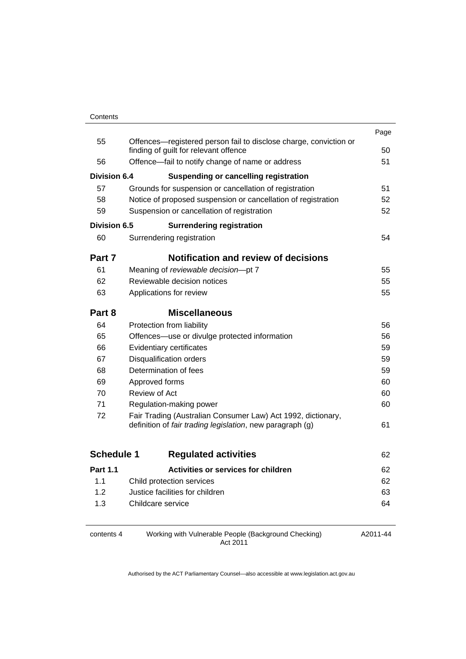| Contents |
|----------|
|          |

|                   |                                                                                                                           | Page |
|-------------------|---------------------------------------------------------------------------------------------------------------------------|------|
| 55                | Offences-registered person fail to disclose charge, conviction or<br>finding of guilt for relevant offence                | 50   |
| 56                | Offence—fail to notify change of name or address                                                                          | 51   |
| Division 6.4      | <b>Suspending or cancelling registration</b>                                                                              |      |
| 57                | Grounds for suspension or cancellation of registration                                                                    | 51   |
| 58                | Notice of proposed suspension or cancellation of registration                                                             | 52   |
| 59                | Suspension or cancellation of registration                                                                                | 52   |
| Division 6.5      | <b>Surrendering registration</b>                                                                                          |      |
| 60                | Surrendering registration                                                                                                 | 54   |
| Part 7            | <b>Notification and review of decisions</b>                                                                               |      |
| 61                | Meaning of reviewable decision-pt 7                                                                                       | 55   |
| 62                | Reviewable decision notices                                                                                               | 55   |
| 63                | Applications for review                                                                                                   | 55   |
| Part 8            | <b>Miscellaneous</b>                                                                                                      |      |
| 64                | Protection from liability                                                                                                 | 56   |
| 65                | Offences—use or divulge protected information                                                                             | 56   |
| 66                | Evidentiary certificates                                                                                                  | 59   |
| 67                | <b>Disqualification orders</b>                                                                                            | 59   |
| 68                | Determination of fees                                                                                                     | 59   |
| 69                | Approved forms                                                                                                            | 60   |
| 70                | Review of Act                                                                                                             | 60   |
| 71                | Regulation-making power                                                                                                   | 60   |
| 72                | Fair Trading (Australian Consumer Law) Act 1992, dictionary,<br>definition of fair trading legislation, new paragraph (g) | 61   |
| <b>Schedule 1</b> | <b>Regulated activities</b>                                                                                               | 62   |
| <b>Part 1.1</b>   | Activities or services for children                                                                                       | 62   |
| 1.1               | Child protection services                                                                                                 | 62   |
| 1.2               | Justice facilities for children                                                                                           | 63   |
| 1.3               | Childcare service                                                                                                         | 64   |
|                   |                                                                                                                           |      |

contents 4 Working with Vulnerable People (Background Checking) Act 2011

A2011-44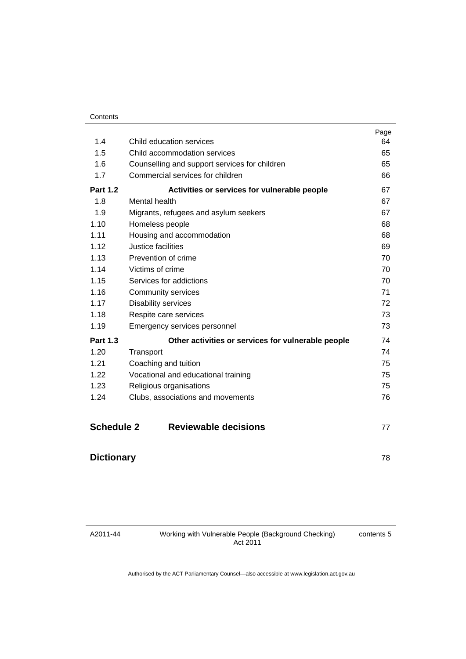|                   |                                                    | Page |
|-------------------|----------------------------------------------------|------|
| 1.4               | Child education services                           | 64   |
| 1.5               | Child accommodation services                       | 65   |
| 1.6               | Counselling and support services for children      | 65   |
| 1.7               | Commercial services for children                   | 66   |
| <b>Part 1.2</b>   | Activities or services for vulnerable people       | 67   |
| 1.8               | Mental health                                      | 67   |
| 1.9               | Migrants, refugees and asylum seekers              | 67   |
| 1.10              | Homeless people                                    | 68   |
| 1.11              | Housing and accommodation                          | 68   |
| 1.12              | Justice facilities                                 | 69   |
| 1.13              | Prevention of crime                                | 70   |
| 1.14              | Victims of crime                                   | 70   |
| 1.15              | Services for addictions                            | 70   |
| 1.16              | <b>Community services</b>                          | 71   |
| 1.17              | <b>Disability services</b>                         | 72   |
| 1.18              | Respite care services                              | 73   |
| 1.19              | Emergency services personnel                       | 73   |
| <b>Part 1.3</b>   | Other activities or services for vulnerable people | 74   |
| 1.20              | Transport                                          | 74   |
| 1.21              | Coaching and tuition                               | 75   |
| 1.22              | Vocational and educational training                | 75   |
| 1.23              | Religious organisations                            | 75   |
| 1.24              | Clubs, associations and movements                  | 76   |
| <b>Schedule 2</b> | <b>Reviewable decisions</b>                        | 77   |

# **[Dictionary](#page-83-0)** [78](#page-83-0)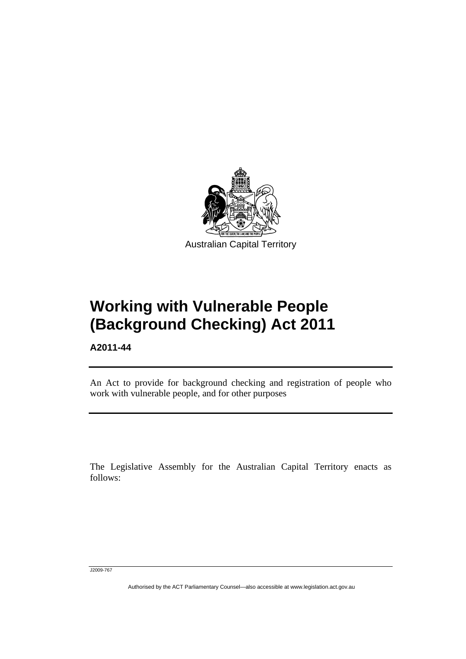

# **Working with Vulnerable People (Background Checking) Act 2011**

**A2011-44** 

l

An Act to provide for background checking and registration of people who work with vulnerable people, and for other purposes

The Legislative Assembly for the Australian Capital Territory enacts as follows:

J2009-767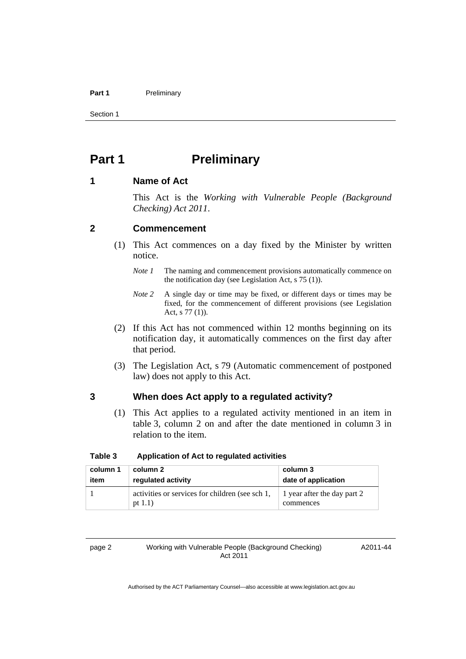#### Part 1 **Preliminary**

Section 1

# <span id="page-7-0"></span>**Part 1** Preliminary

## <span id="page-7-1"></span>**1 Name of Act**

This Act is the *Working with Vulnerable People (Background Checking) Act 2011*.

# <span id="page-7-2"></span>**2 Commencement**

- (1) This Act commences on a day fixed by the Minister by written notice.
	- *Note 1* The naming and commencement provisions automatically commence on the notification day (see Legislation Act, s 75 (1)).
	- *Note 2* A single day or time may be fixed, or different days or times may be fixed, for the commencement of different provisions (see Legislation Act, s 77 (1)).
- (2) If this Act has not commenced within 12 months beginning on its notification day, it automatically commences on the first day after that period.
- (3) The Legislation Act, s 79 (Automatic commencement of postponed law) does not apply to this Act.

# <span id="page-7-3"></span>**3 When does Act apply to a regulated activity?**

(1) This Act applies to a regulated activity mentioned in an item in table 3, column 2 on and after the date mentioned in column 3 in relation to the item.

| column 1 | column 2                                                      | column 3                                 |
|----------|---------------------------------------------------------------|------------------------------------------|
| item     | requlated activity                                            | date of application                      |
|          | activities or services for children (see sch 1,<br>pt $1.1$ ) | 1 year after the day part 2<br>commences |

# **Table 3 Application of Act to regulated activities**

page 2 Working with Vulnerable People (Background Checking) Act 2011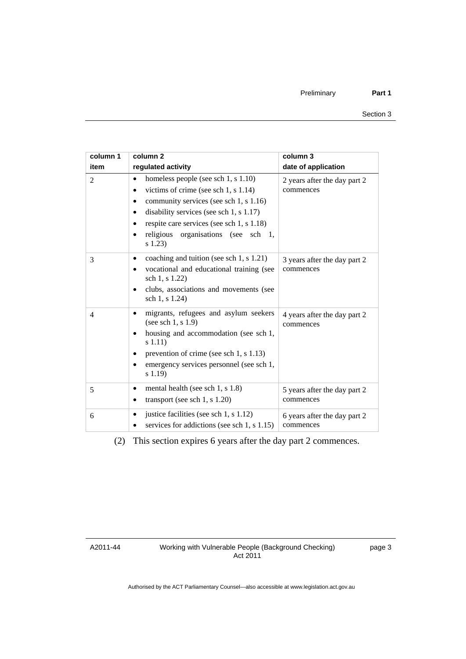| column 1       | column <sub>2</sub>                                                                                                                                                                                                                                                                        | column 3                                  |
|----------------|--------------------------------------------------------------------------------------------------------------------------------------------------------------------------------------------------------------------------------------------------------------------------------------------|-------------------------------------------|
| item           | regulated activity                                                                                                                                                                                                                                                                         | date of application                       |
| 2              | homeless people (see sch 1, s 1.10)<br>$\bullet$<br>victims of crime (see sch 1, s $1.14$ )<br>٠<br>community services (see sch 1, s 1.16)<br>disability services (see sch $1, s 1.17$ )<br>respite care services (see sch 1, s 1.18)<br>organisations (see sch 1,<br>religious<br>s(1.23) | 2 years after the day part 2<br>commences |
| 3              | coaching and tuition (see sch 1, s 1.21)<br>vocational and educational training (see<br>sch 1, s 1.22)<br>clubs, associations and movements (see<br>sch 1, s 1.24)                                                                                                                         | 3 years after the day part 2<br>commences |
| $\overline{4}$ | migrants, refugees and asylum seekers<br>(see sch $1, s 1.9$ )<br>housing and accommodation (see sch 1,<br>s(1.11)<br>prevention of crime (see sch 1, s 1.13)<br>emergency services personnel (see sch 1,<br>s 1.19)                                                                       | 4 years after the day part 2<br>commences |
| 5              | mental health (see sch 1, s 1.8)<br>٠<br>transport (see sch 1, s $1.20$ )                                                                                                                                                                                                                  | 5 years after the day part 2<br>commences |
| 6              | justice facilities (see sch 1, s 1.12)<br>services for addictions (see sch 1, s 1.15)                                                                                                                                                                                                      | 6 years after the day part 2<br>commences |

(2) This section expires 6 years after the day part 2 commences.

A2011-44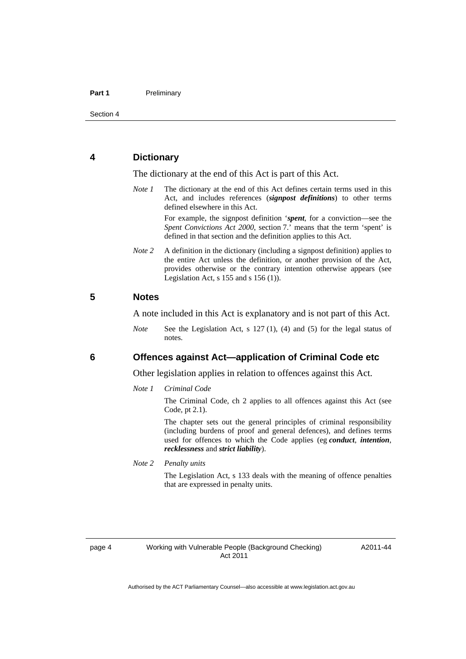# <span id="page-9-0"></span>**4 Dictionary**

The dictionary at the end of this Act is part of this Act.

*Note 1* The dictionary at the end of this Act defines certain terms used in this Act, and includes references (*signpost definitions*) to other terms defined elsewhere in this Act.

> For example, the signpost definition '*spent*, for a conviction—see the *Spent Convictions Act 2000*, section 7.<sup>7</sup> means that the term 'spent' is defined in that section and the definition applies to this Act.

*Note* 2 A definition in the dictionary (including a signpost definition) applies to the entire Act unless the definition, or another provision of the Act, provides otherwise or the contrary intention otherwise appears (see Legislation Act,  $s$  155 and  $s$  156 (1)).

# <span id="page-9-1"></span>**5 Notes**

A note included in this Act is explanatory and is not part of this Act.

*Note* See the Legislation Act, s 127 (1), (4) and (5) for the legal status of notes.

# <span id="page-9-2"></span>**6 Offences against Act—application of Criminal Code etc**

Other legislation applies in relation to offences against this Act.

*Note 1 Criminal Code*

The Criminal Code, ch 2 applies to all offences against this Act (see Code, pt 2.1).

The chapter sets out the general principles of criminal responsibility (including burdens of proof and general defences), and defines terms used for offences to which the Code applies (eg *conduct*, *intention*, *recklessness* and *strict liability*).

*Note 2 Penalty units* 

The Legislation Act, s 133 deals with the meaning of offence penalties that are expressed in penalty units.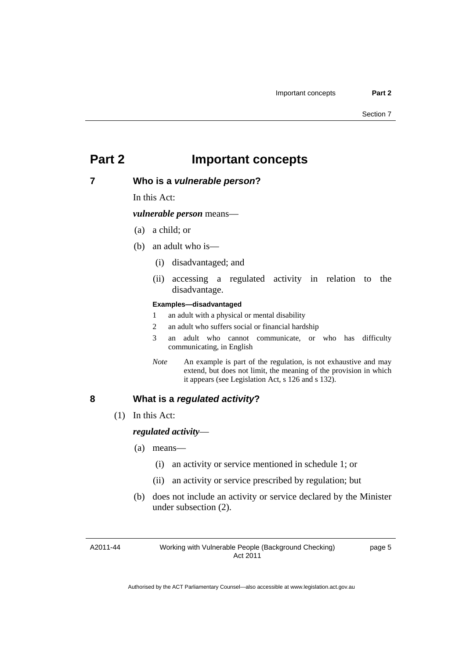# <span id="page-10-0"></span>**Part 2 Important concepts**

# <span id="page-10-1"></span>**7 Who is a** *vulnerable person***?**

In this Act:

*vulnerable person* means—

- (a) a child; or
- (b) an adult who is—
	- (i) disadvantaged; and
	- (ii) accessing a regulated activity in relation to the disadvantage.

#### **Examples—disadvantaged**

- 1 an adult with a physical or mental disability
- 2 an adult who suffers social or financial hardship
- 3 an adult who cannot communicate, or who has difficulty communicating, in English
- *Note* An example is part of the regulation, is not exhaustive and may extend, but does not limit, the meaning of the provision in which it appears (see Legislation Act, s 126 and s 132).

# <span id="page-10-2"></span>**8 What is a** *regulated activity***?**

(1) In this Act:

### *regulated activity*—

- (a) means—
	- (i) an activity or service mentioned in schedule 1; or
	- (ii) an activity or service prescribed by regulation; but
- (b) does not include an activity or service declared by the Minister under subsection (2).

A2011-44

Working with Vulnerable People (Background Checking) Act 2011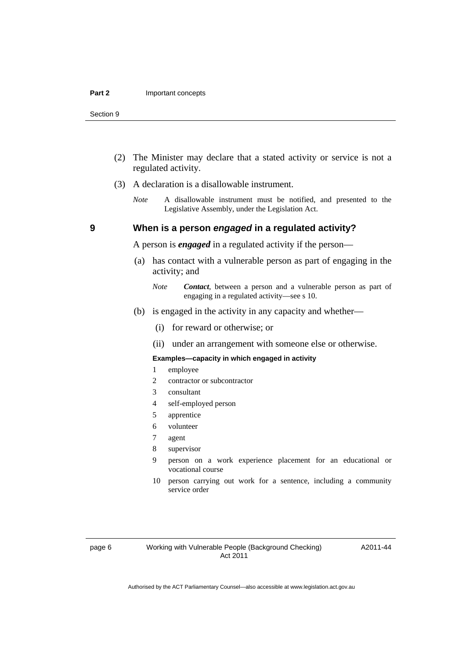- (2) The Minister may declare that a stated activity or service is not a regulated activity.
- (3) A declaration is a disallowable instrument.
	- *Note* A disallowable instrument must be notified, and presented to the Legislative Assembly, under the Legislation Act.

# **9 When is a person** *engaged* **in a regulated activity?**

A person is *engaged* in a regulated activity if the person—

- (a) has contact with a vulnerable person as part of engaging in the activity; and
	- *Note Contact*, between a person and a vulnerable person as part of engaging in a regulated activity—see s 10.
- (b) is engaged in the activity in any capacity and whether—
	- (i) for reward or otherwise; or
	- (ii) under an arrangement with someone else or otherwise.

#### **Examples—capacity in which engaged in activity**

- 1 employee
- 2 contractor or subcontractor
- 3 consultant
- 4 self-employed person
- 5 apprentice
- 6 volunteer
- 7 agent
- 8 supervisor
- 9 person on a work experience placement for an educational or vocational course
- 10 person carrying out work for a sentence, including a community service order

A2011-44

<span id="page-11-0"></span>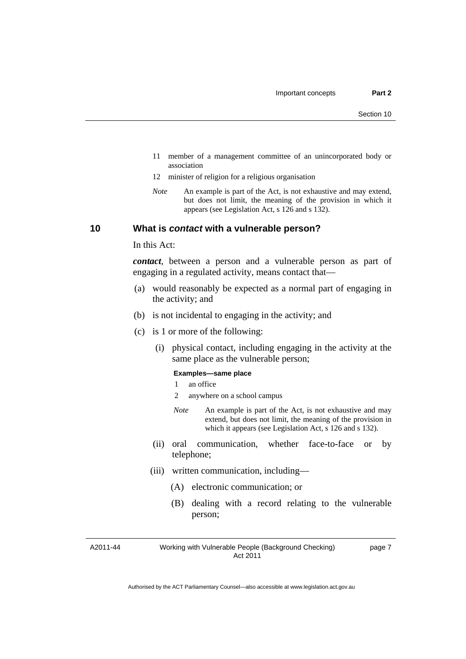- 11 member of a management committee of an unincorporated body or association
- 12 minister of religion for a religious organisation
- *Note* An example is part of the Act, is not exhaustive and may extend, but does not limit, the meaning of the provision in which it appears (see Legislation Act, s 126 and s 132).

# <span id="page-12-0"></span>**10 What is** *contact* **with a vulnerable person?**

In this Act:

*contact*, between a person and a vulnerable person as part of engaging in a regulated activity, means contact that—

- (a) would reasonably be expected as a normal part of engaging in the activity; and
- (b) is not incidental to engaging in the activity; and
- (c) is 1 or more of the following:
	- (i) physical contact, including engaging in the activity at the same place as the vulnerable person;

#### **Examples—same place**

- 1 an office
- 2 anywhere on a school campus
- *Note* An example is part of the Act, is not exhaustive and may extend, but does not limit, the meaning of the provision in which it appears (see Legislation Act, s 126 and s 132).
- (ii) oral communication, whether face-to-face or by telephone;
- (iii) written communication, including—
	- (A) electronic communication; or
	- (B) dealing with a record relating to the vulnerable person;

A2011-44

#### Working with Vulnerable People (Background Checking) Act 2011

page 7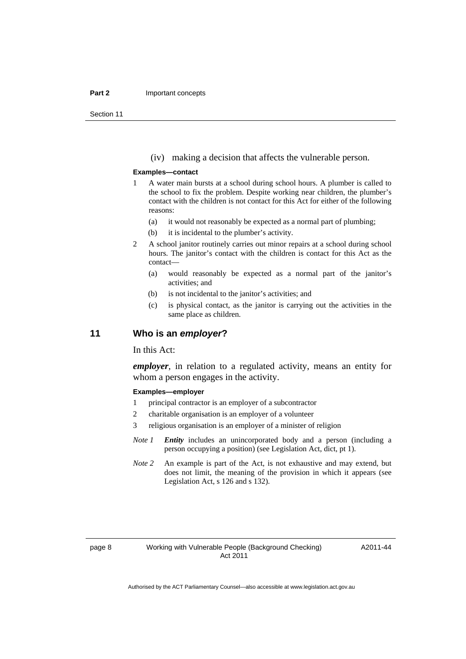#### **Part 2 Important concepts**

Section 11

(iv) making a decision that affects the vulnerable person.

#### **Examples—contact**

- 1 A water main bursts at a school during school hours. A plumber is called to the school to fix the problem. Despite working near children, the plumber's contact with the children is not contact for this Act for either of the following reasons:
	- (a) it would not reasonably be expected as a normal part of plumbing;
	- (b) it is incidental to the plumber's activity.
- 2 A school janitor routinely carries out minor repairs at a school during school hours. The janitor's contact with the children is contact for this Act as the contact—
	- (a) would reasonably be expected as a normal part of the janitor's activities; and
	- (b) is not incidental to the janitor's activities; and
	- (c) is physical contact, as the janitor is carrying out the activities in the same place as children.

# <span id="page-13-0"></span>**11 Who is an** *employer***?**

In this Act:

*employer*, in relation to a regulated activity, means an entity for whom a person engages in the activity.

#### **Examples—employer**

- 1 principal contractor is an employer of a subcontractor
- 2 charitable organisation is an employer of a volunteer
- 3 religious organisation is an employer of a minister of religion
- *Note 1 Entity* includes an unincorporated body and a person (including a person occupying a position) (see Legislation Act, dict, pt 1).
- *Note* 2 An example is part of the Act, is not exhaustive and may extend, but does not limit, the meaning of the provision in which it appears (see Legislation Act, s 126 and s 132).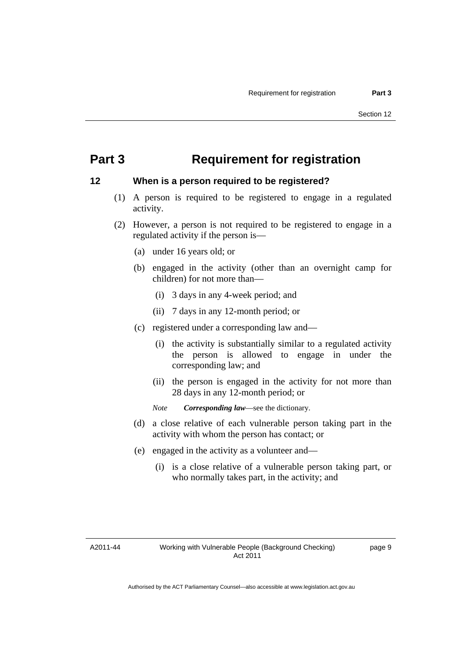# <span id="page-14-0"></span>**Part 3 Requirement for registration**

# <span id="page-14-1"></span>**12 When is a person required to be registered?**

- (1) A person is required to be registered to engage in a regulated activity.
- (2) However, a person is not required to be registered to engage in a regulated activity if the person is—
	- (a) under 16 years old; or
	- (b) engaged in the activity (other than an overnight camp for children) for not more than—
		- (i) 3 days in any 4-week period; and
		- (ii) 7 days in any 12-month period; or
	- (c) registered under a corresponding law and—
		- (i) the activity is substantially similar to a regulated activity the person is allowed to engage in under the corresponding law; and
		- (ii) the person is engaged in the activity for not more than 28 days in any 12-month period; or
		- *Note Corresponding law*—see the dictionary.
	- (d) a close relative of each vulnerable person taking part in the activity with whom the person has contact; or
	- (e) engaged in the activity as a volunteer and—
		- (i) is a close relative of a vulnerable person taking part, or who normally takes part, in the activity; and

A2011-44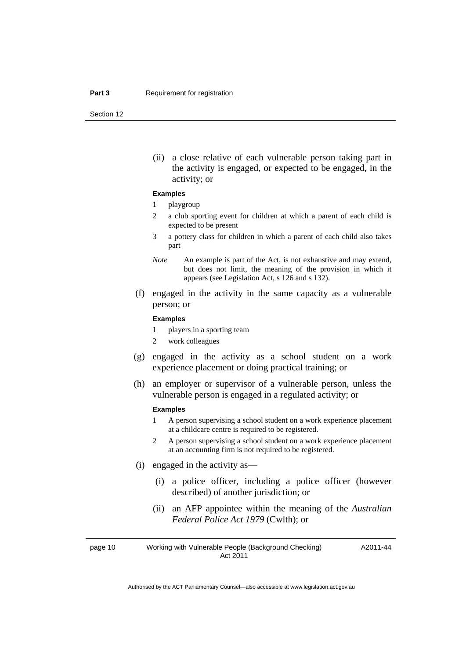(ii) a close relative of each vulnerable person taking part in the activity is engaged, or expected to be engaged, in the activity; or

#### **Examples**

#### 1 playgroup

- 2 a club sporting event for children at which a parent of each child is expected to be present
- 3 a pottery class for children in which a parent of each child also takes part
- *Note* An example is part of the Act, is not exhaustive and may extend, but does not limit, the meaning of the provision in which it appears (see Legislation Act, s 126 and s 132).
- (f) engaged in the activity in the same capacity as a vulnerable person; or

#### **Examples**

- 1 players in a sporting team
- 2 work colleagues
- (g) engaged in the activity as a school student on a work experience placement or doing practical training; or
- (h) an employer or supervisor of a vulnerable person, unless the vulnerable person is engaged in a regulated activity; or

#### **Examples**

- 1 A person supervising a school student on a work experience placement at a childcare centre is required to be registered.
- 2 A person supervising a school student on a work experience placement at an accounting firm is not required to be registered.
- (i) engaged in the activity as—
	- (i) a police officer, including a police officer (however described) of another jurisdiction; or
	- (ii) an AFP appointee within the meaning of the *Australian Federal Police Act 1979* (Cwlth); or

page 10 Working with Vulnerable People (Background Checking) Act 2011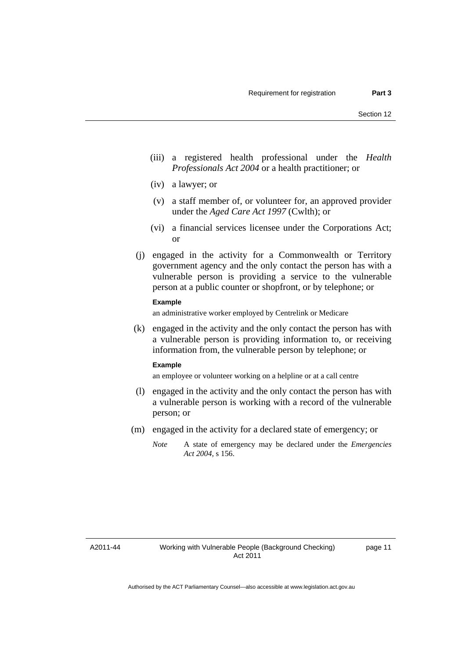- (iii) a registered health professional under the *Health Professionals Act 2004* or a health practitioner; or
- (iv) a lawyer; or
- (v) a staff member of, or volunteer for, an approved provider under the *Aged Care Act 1997* (Cwlth); or
- (vi) a financial services licensee under the Corporations Act; or
- (j) engaged in the activity for a Commonwealth or Territory government agency and the only contact the person has with a vulnerable person is providing a service to the vulnerable person at a public counter or shopfront, or by telephone; or

### **Example**

an administrative worker employed by Centrelink or Medicare

 (k) engaged in the activity and the only contact the person has with a vulnerable person is providing information to, or receiving information from, the vulnerable person by telephone; or

#### **Example**

an employee or volunteer working on a helpline or at a call centre

- (l) engaged in the activity and the only contact the person has with a vulnerable person is working with a record of the vulnerable person; or
- (m) engaged in the activity for a declared state of emergency; or
	- *Note* A state of emergency may be declared under the *Emergencies Act 2004*, s 156.

A2011-44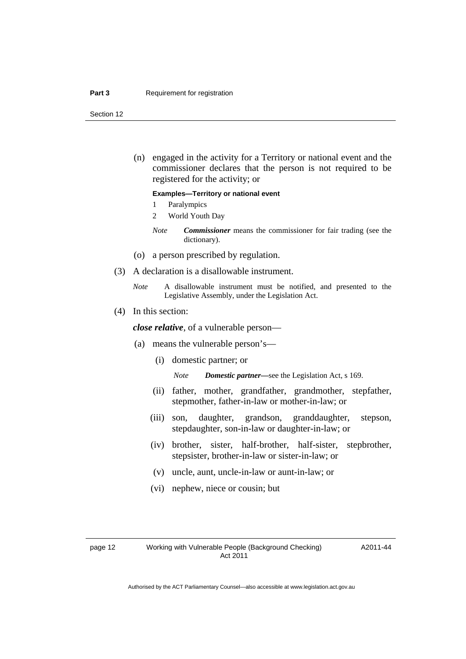#### **Part 3 Requirement for registration**

Section 12

 (n) engaged in the activity for a Territory or national event and the commissioner declares that the person is not required to be registered for the activity; or

#### **Examples—Territory or national event**

- 1 Paralympics
- 2 World Youth Day
- *Note Commissioner* means the commissioner for fair trading (see the dictionary).
- (o) a person prescribed by regulation.
- (3) A declaration is a disallowable instrument.
	- *Note* A disallowable instrument must be notified, and presented to the Legislative Assembly, under the Legislation Act.
- (4) In this section:

*close relative*, of a vulnerable person—

- (a) means the vulnerable person's—
	- (i) domestic partner; or

*Note Domestic partner—*see the Legislation Act, s 169.

- (ii) father, mother, grandfather, grandmother, stepfather, stepmother, father-in-law or mother-in-law; or
- (iii) son, daughter, grandson, granddaughter, stepson, stepdaughter, son-in-law or daughter-in-law; or
- (iv) brother, sister, half-brother, half-sister, stepbrother, stepsister, brother-in-law or sister-in-law; or
- (v) uncle, aunt, uncle-in-law or aunt-in-law; or
- (vi) nephew, niece or cousin; but

A2011-44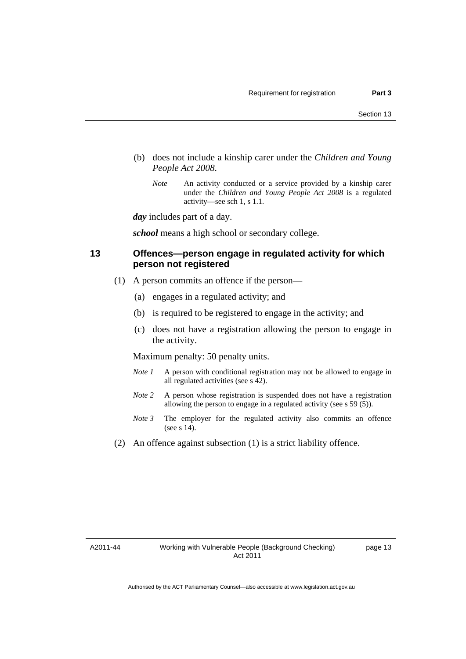- (b) does not include a kinship carer under the *Children and Young People Act 2008*.
	- *Note* An activity conducted or a service provided by a kinship carer under the *Children and Young People Act 2008* is a regulated activity—see sch 1, s 1.1.

*day* includes part of a day.

*school* means a high school or secondary college.

# <span id="page-18-0"></span>**13 Offences—person engage in regulated activity for which person not registered**

- (1) A person commits an offence if the person—
	- (a) engages in a regulated activity; and
	- (b) is required to be registered to engage in the activity; and
	- (c) does not have a registration allowing the person to engage in the activity.

Maximum penalty: 50 penalty units.

- *Note 1* A person with conditional registration may not be allowed to engage in all regulated activities (see s 42).
- *Note* 2 A person whose registration is suspended does not have a registration allowing the person to engage in a regulated activity (see s 59 (5)).
- *Note 3* The employer for the regulated activity also commits an offence (see s 14).
- (2) An offence against subsection (1) is a strict liability offence.

A2011-44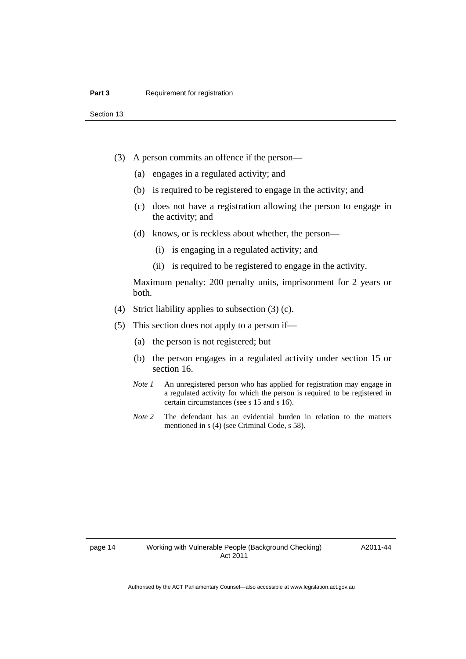- (3) A person commits an offence if the person—
	- (a) engages in a regulated activity; and
	- (b) is required to be registered to engage in the activity; and
	- (c) does not have a registration allowing the person to engage in the activity; and
	- (d) knows, or is reckless about whether, the person—
		- (i) is engaging in a regulated activity; and
		- (ii) is required to be registered to engage in the activity.

Maximum penalty: 200 penalty units, imprisonment for 2 years or both.

- (4) Strict liability applies to subsection (3) (c).
- (5) This section does not apply to a person if—
	- (a) the person is not registered; but
	- (b) the person engages in a regulated activity under section 15 or section 16.
	- *Note 1* An unregistered person who has applied for registration may engage in a regulated activity for which the person is required to be registered in certain circumstances (see s 15 and s 16).
	- *Note* 2 The defendant has an evidential burden in relation to the matters mentioned in s (4) (see Criminal Code, s 58).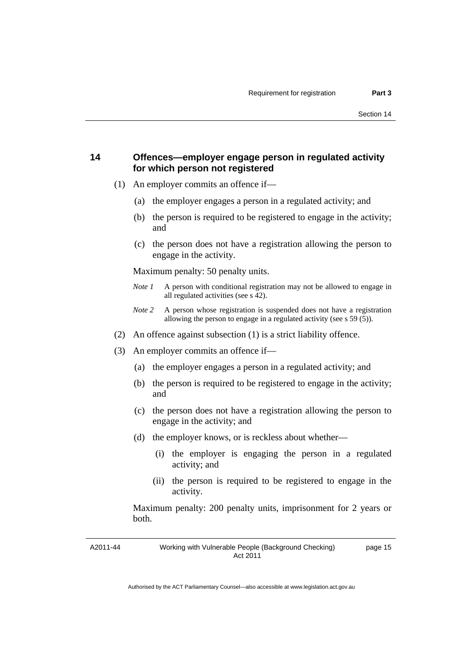# <span id="page-20-0"></span>**14 Offences—employer engage person in regulated activity for which person not registered**

- (1) An employer commits an offence if—
	- (a) the employer engages a person in a regulated activity; and
	- (b) the person is required to be registered to engage in the activity; and
	- (c) the person does not have a registration allowing the person to engage in the activity.

Maximum penalty: 50 penalty units.

- *Note 1* A person with conditional registration may not be allowed to engage in all regulated activities (see s 42).
- *Note 2* A person whose registration is suspended does not have a registration allowing the person to engage in a regulated activity (see s 59 (5)).
- (2) An offence against subsection (1) is a strict liability offence.
- (3) An employer commits an offence if—
	- (a) the employer engages a person in a regulated activity; and
	- (b) the person is required to be registered to engage in the activity; and
	- (c) the person does not have a registration allowing the person to engage in the activity; and
	- (d) the employer knows, or is reckless about whether—
		- (i) the employer is engaging the person in a regulated activity; and
		- (ii) the person is required to be registered to engage in the activity.

Maximum penalty: 200 penalty units, imprisonment for 2 years or both.

A2011-44

page 15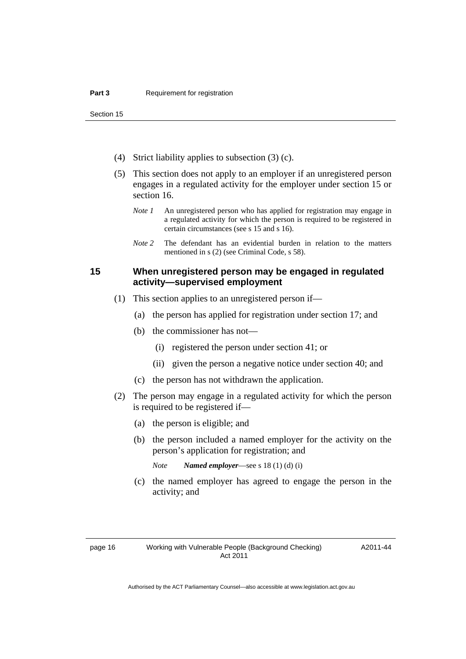- (4) Strict liability applies to subsection (3) (c).
- (5) This section does not apply to an employer if an unregistered person engages in a regulated activity for the employer under section 15 or section 16.
	- *Note 1* An unregistered person who has applied for registration may engage in a regulated activity for which the person is required to be registered in certain circumstances (see s 15 and s 16).
	- *Note* 2 The defendant has an evidential burden in relation to the matters mentioned in s (2) (see Criminal Code, s 58).

# <span id="page-21-0"></span>**15 When unregistered person may be engaged in regulated activity—supervised employment**

- (1) This section applies to an unregistered person if—
	- (a) the person has applied for registration under section 17; and
	- (b) the commissioner has not—
		- (i) registered the person under section 41; or
		- (ii) given the person a negative notice under section 40; and
	- (c) the person has not withdrawn the application.
- (2) The person may engage in a regulated activity for which the person is required to be registered if—
	- (a) the person is eligible; and
	- (b) the person included a named employer for the activity on the person's application for registration; and
		- *Note Named employer*—see s 18 (1) (d) (i)
	- (c) the named employer has agreed to engage the person in the activity; and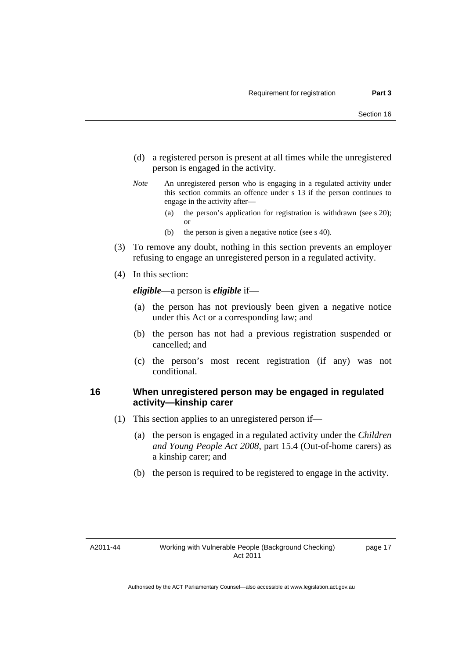- (d) a registered person is present at all times while the unregistered person is engaged in the activity.
- *Note* An unregistered person who is engaging in a regulated activity under this section commits an offence under s 13 if the person continues to engage in the activity after—
	- (a) the person's application for registration is withdrawn (see s 20); or
	- (b) the person is given a negative notice (see s 40).
- (3) To remove any doubt, nothing in this section prevents an employer refusing to engage an unregistered person in a regulated activity.
- (4) In this section:

*eligible*—a person is *eligible* if—

- (a) the person has not previously been given a negative notice under this Act or a corresponding law; and
- (b) the person has not had a previous registration suspended or cancelled; and
- (c) the person's most recent registration (if any) was not conditional.

# <span id="page-22-0"></span>**16 When unregistered person may be engaged in regulated activity—kinship carer**

- (1) This section applies to an unregistered person if—
	- (a) the person is engaged in a regulated activity under the *Children and Young People Act 2008*, part 15.4 (Out-of-home carers) as a kinship carer; and
	- (b) the person is required to be registered to engage in the activity.

# A2011-44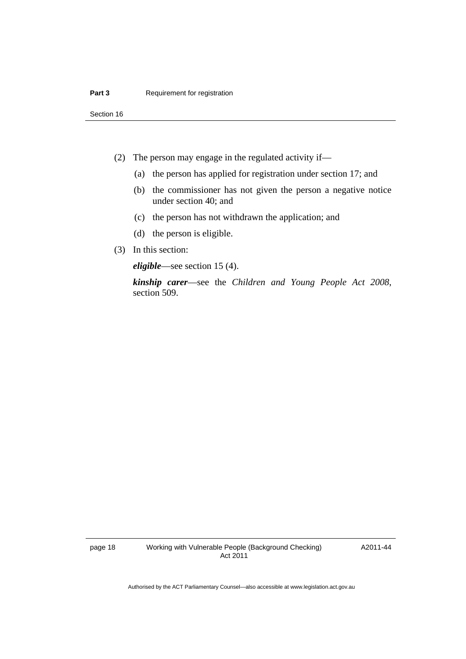- (2) The person may engage in the regulated activity if—
	- (a) the person has applied for registration under section 17; and
	- (b) the commissioner has not given the person a negative notice under section 40; and
	- (c) the person has not withdrawn the application; and
	- (d) the person is eligible.
- (3) In this section:

*eligible*—see section 15 (4).

*kinship carer*—see the *Children and Young People Act 2008*, section 509.

A2011-44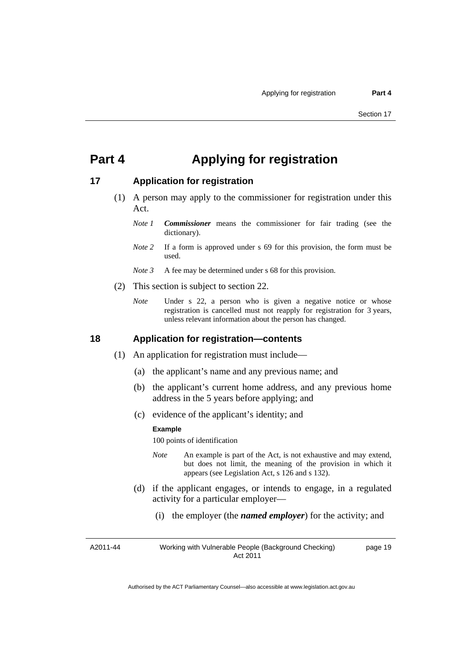# <span id="page-24-0"></span>**Part 4 Applying for registration**

# <span id="page-24-1"></span>**17 Application for registration**

- (1) A person may apply to the commissioner for registration under this Act.
	- *Note 1 Commissioner* means the commissioner for fair trading (see the dictionary).
	- *Note* 2 If a form is approved under s 69 for this provision, the form must be used.
	- *Note 3* A fee may be determined under s 68 for this provision.
- (2) This section is subject to section 22.
	- *Note* Under s 22, a person who is given a negative notice or whose registration is cancelled must not reapply for registration for 3 years, unless relevant information about the person has changed.

### <span id="page-24-2"></span>**18 Application for registration—contents**

- (1) An application for registration must include—
	- (a) the applicant's name and any previous name; and
	- (b) the applicant's current home address, and any previous home address in the 5 years before applying; and
	- (c) evidence of the applicant's identity; and

#### **Example**

100 points of identification

- *Note* An example is part of the Act, is not exhaustive and may extend, but does not limit, the meaning of the provision in which it appears (see Legislation Act, s 126 and s 132).
- (d) if the applicant engages, or intends to engage, in a regulated activity for a particular employer—
	- (i) the employer (the *named employer*) for the activity; and

A2011-44 Working with Vulnerable People (Background Checking) Act 2011 page 19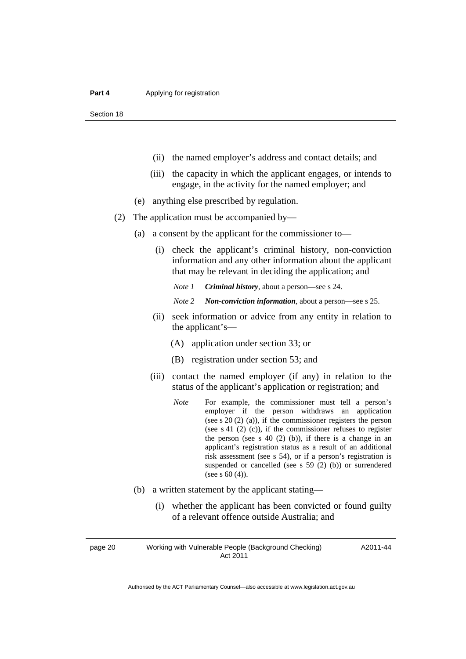- (ii) the named employer's address and contact details; and
- (iii) the capacity in which the applicant engages, or intends to engage, in the activity for the named employer; and
- (e) anything else prescribed by regulation.
- (2) The application must be accompanied by—
	- (a) a consent by the applicant for the commissioner to—
		- (i) check the applicant's criminal history, non-conviction information and any other information about the applicant that may be relevant in deciding the application; and

*Note 1 Criminal history*, about a person*—*see s 24.

- *Note 2 Non-conviction information*, about a person—see s 25.
- (ii) seek information or advice from any entity in relation to the applicant's—
	- (A) application under section 33; or
	- (B) registration under section 53; and
- (iii) contact the named employer (if any) in relation to the status of the applicant's application or registration; and
	- *Note* For example, the commissioner must tell a person's employer if the person withdraws an application (see s 20 (2) (a)), if the commissioner registers the person (see s 41 (2) (c)), if the commissioner refuses to register the person (see s  $40$  (2) (b)), if there is a change in an applicant's registration status as a result of an additional risk assessment (see s 54), or if a person's registration is suspended or cancelled (see s 59 (2) (b)) or surrendered (see s 60 (4)).
- (b) a written statement by the applicant stating—
	- (i) whether the applicant has been convicted or found guilty of a relevant offence outside Australia; and

page 20 Working with Vulnerable People (Background Checking) Act 2011

A2011-44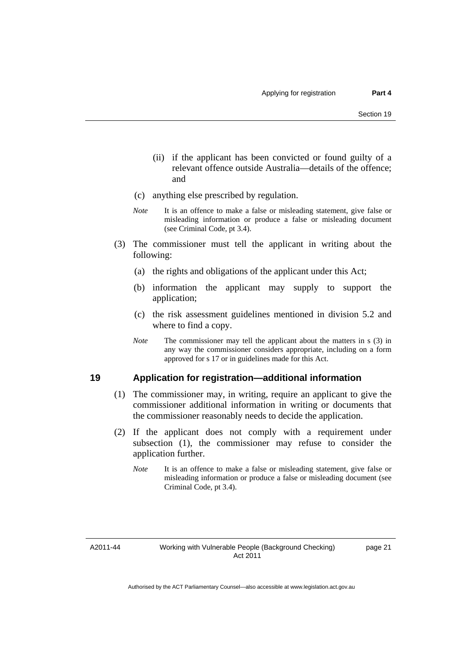- (ii) if the applicant has been convicted or found guilty of a relevant offence outside Australia—details of the offence; and
- (c) anything else prescribed by regulation.
- *Note* It is an offence to make a false or misleading statement, give false or misleading information or produce a false or misleading document (see Criminal Code, pt 3.4).
- (3) The commissioner must tell the applicant in writing about the following:
	- (a) the rights and obligations of the applicant under this Act;
	- (b) information the applicant may supply to support the application;
	- (c) the risk assessment guidelines mentioned in division 5.2 and where to find a copy.
	- *Note* The commissioner may tell the applicant about the matters in s (3) in any way the commissioner considers appropriate, including on a form approved for s 17 or in guidelines made for this Act.

# <span id="page-26-0"></span>**19 Application for registration—additional information**

- (1) The commissioner may, in writing, require an applicant to give the commissioner additional information in writing or documents that the commissioner reasonably needs to decide the application.
- (2) If the applicant does not comply with a requirement under subsection (1), the commissioner may refuse to consider the application further.
	- *Note* It is an offence to make a false or misleading statement, give false or misleading information or produce a false or misleading document (see Criminal Code, pt 3.4).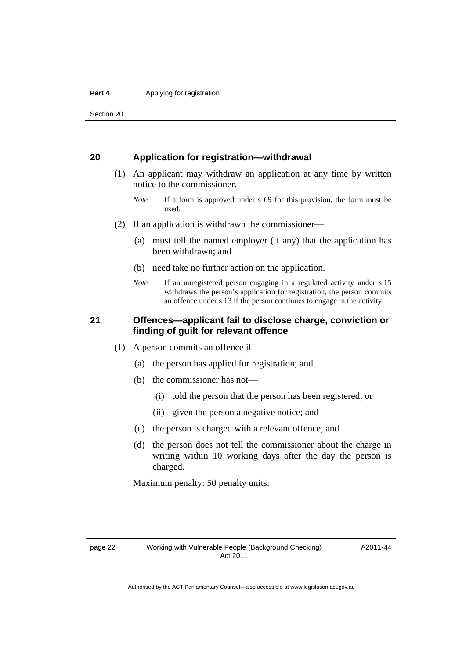# <span id="page-27-0"></span>**20 Application for registration—withdrawal**

- (1) An applicant may withdraw an application at any time by written notice to the commissioner.
	- *Note* If a form is approved under s 69 for this provision, the form must be used.
- (2) If an application is withdrawn the commissioner—
	- (a) must tell the named employer (if any) that the application has been withdrawn; and
	- (b) need take no further action on the application.
	- *Note* If an unregistered person engaging in a regulated activity under s 15 withdraws the person's application for registration, the person commits an offence under s 13 if the person continues to engage in the activity.

# <span id="page-27-1"></span>**21 Offences—applicant fail to disclose charge, conviction or finding of guilt for relevant offence**

- (1) A person commits an offence if—
	- (a) the person has applied for registration; and
	- (b) the commissioner has not—
		- (i) told the person that the person has been registered; or
		- (ii) given the person a negative notice; and
	- (c) the person is charged with a relevant offence; and
	- (d) the person does not tell the commissioner about the charge in writing within 10 working days after the day the person is charged.

Maximum penalty: 50 penalty units.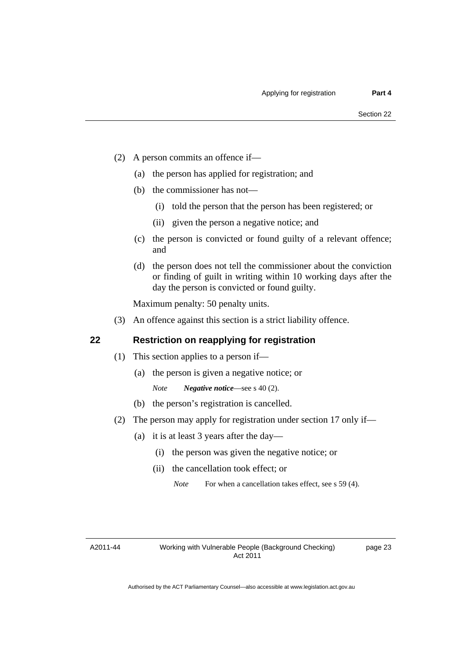- (2) A person commits an offence if—
	- (a) the person has applied for registration; and
	- (b) the commissioner has not—
		- (i) told the person that the person has been registered; or
		- (ii) given the person a negative notice; and
	- (c) the person is convicted or found guilty of a relevant offence; and
	- (d) the person does not tell the commissioner about the conviction or finding of guilt in writing within 10 working days after the day the person is convicted or found guilty.

Maximum penalty: 50 penalty units.

(3) An offence against this section is a strict liability offence.

# <span id="page-28-0"></span>**22 Restriction on reapplying for registration**

- (1) This section applies to a person if—
	- (a) the person is given a negative notice; or
		- *Note Negative notice*—see s 40 (2).
	- (b) the person's registration is cancelled.
- (2) The person may apply for registration under section 17 only if—
	- (a) it is at least 3 years after the day—
		- (i) the person was given the negative notice; or
		- (ii) the cancellation took effect; or

*Note* For when a cancellation takes effect, see s 59 (4).

A2011-44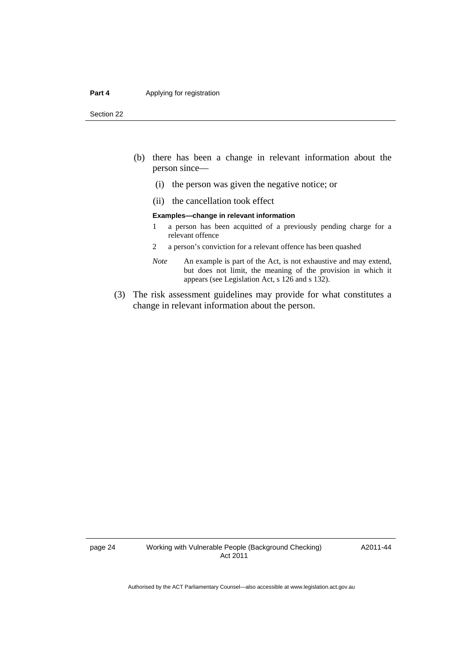#### **Part 4 Applying for registration**

Section 22

- (b) there has been a change in relevant information about the person since—
	- (i) the person was given the negative notice; or
	- (ii) the cancellation took effect

#### **Examples—change in relevant information**

- 1 a person has been acquitted of a previously pending charge for a relevant offence
- 2 a person's conviction for a relevant offence has been quashed
- *Note* An example is part of the Act, is not exhaustive and may extend, but does not limit, the meaning of the provision in which it appears (see Legislation Act, s 126 and s 132).
- (3) The risk assessment guidelines may provide for what constitutes a change in relevant information about the person.

A2011-44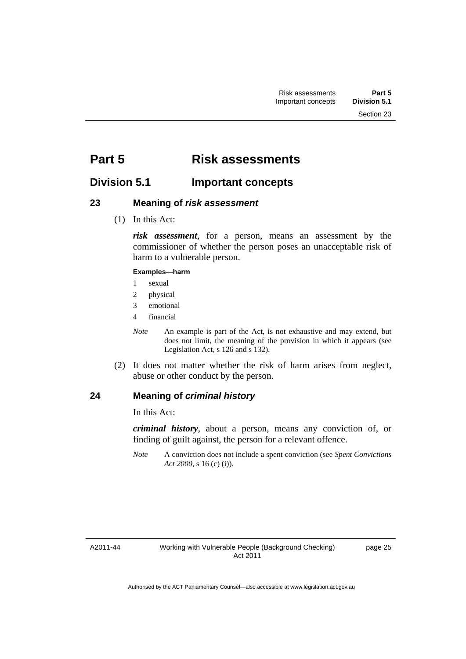# <span id="page-30-0"></span>**Part 5 Risk assessments**

# <span id="page-30-1"></span>**Division 5.1 Important concepts**

# <span id="page-30-2"></span>**23 Meaning of** *risk assessment*

(1) In this Act:

*risk assessment*, for a person, means an assessment by the commissioner of whether the person poses an unacceptable risk of harm to a vulnerable person.

### **Examples—harm**

- 1 sexual
- 2 physical
- 3 emotional
- 4 financial

*Note* An example is part of the Act, is not exhaustive and may extend, but does not limit, the meaning of the provision in which it appears (see Legislation Act, s 126 and s 132).

 (2) It does not matter whether the risk of harm arises from neglect, abuse or other conduct by the person.

# <span id="page-30-3"></span>**24 Meaning of** *criminal history*

In this Act:

*criminal history*, about a person, means any conviction of, or finding of guilt against, the person for a relevant offence.

*Note* A conviction does not include a spent conviction (see *Spent Convictions Act 2000*, s 16 (c) (i)).

A2011-44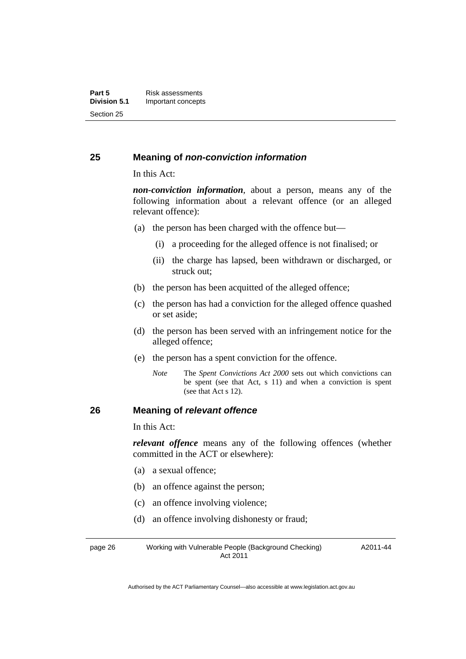# <span id="page-31-0"></span>**25 Meaning of** *non-conviction information*

In this Act:

*non-conviction information*, about a person, means any of the following information about a relevant offence (or an alleged relevant offence):

- (a) the person has been charged with the offence but—
	- (i) a proceeding for the alleged offence is not finalised; or
	- (ii) the charge has lapsed, been withdrawn or discharged, or struck out;
- (b) the person has been acquitted of the alleged offence;
- (c) the person has had a conviction for the alleged offence quashed or set aside;
- (d) the person has been served with an infringement notice for the alleged offence;
- (e) the person has a spent conviction for the offence.
	- *Note* The *Spent Convictions Act 2000* sets out which convictions can be spent (see that Act, s 11) and when a conviction is spent (see that Act s 12).

# <span id="page-31-1"></span>**26 Meaning of** *relevant offence*

In this Act:

*relevant offence* means any of the following offences (whether committed in the ACT or elsewhere):

- (a) a sexual offence;
- (b) an offence against the person;
- (c) an offence involving violence;
- (d) an offence involving dishonesty or fraud;

page 26 Working with Vulnerable People (Background Checking) Act 2011 A2011-44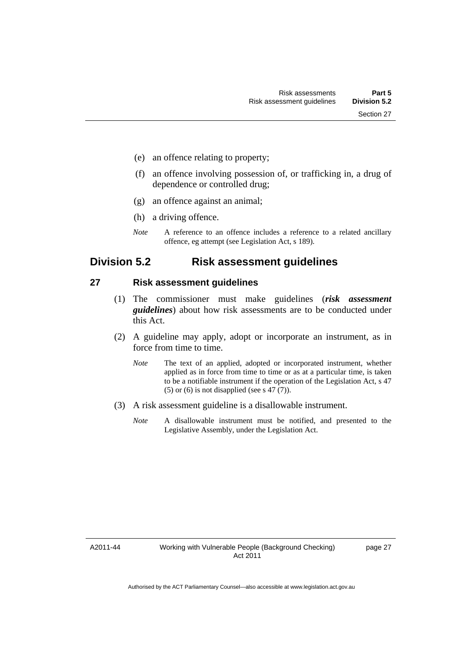- (e) an offence relating to property;
- (f) an offence involving possession of, or trafficking in, a drug of dependence or controlled drug;
- (g) an offence against an animal;
- (h) a driving offence.
- *Note* A reference to an offence includes a reference to a related ancillary offence, eg attempt (see Legislation Act, s 189).

# <span id="page-32-0"></span>**Division 5.2 Risk assessment guidelines**

### <span id="page-32-1"></span>**27 Risk assessment guidelines**

- (1) The commissioner must make guidelines (*risk assessment guidelines*) about how risk assessments are to be conducted under this Act.
- (2) A guideline may apply, adopt or incorporate an instrument, as in force from time to time.
	- *Note* The text of an applied, adopted or incorporated instrument, whether applied as in force from time to time or as at a particular time, is taken to be a notifiable instrument if the operation of the Legislation Act, s 47 (5) or (6) is not disapplied (see s 47  $(7)$ ).
- (3) A risk assessment guideline is a disallowable instrument.
	- *Note* A disallowable instrument must be notified, and presented to the Legislative Assembly, under the Legislation Act.

A2011-44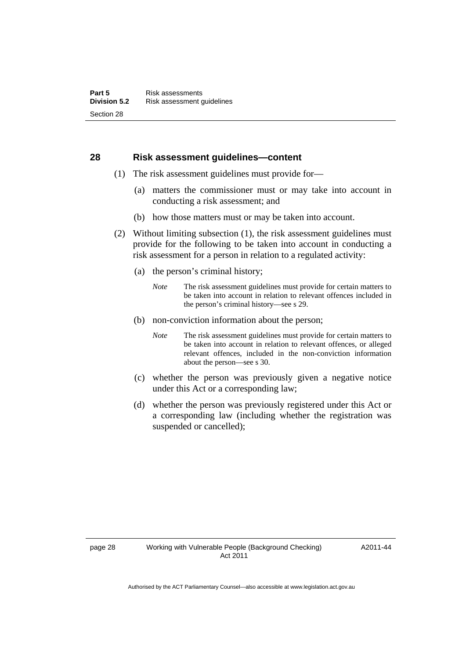### <span id="page-33-0"></span>**28 Risk assessment guidelines—content**

- (1) The risk assessment guidelines must provide for—
	- (a) matters the commissioner must or may take into account in conducting a risk assessment; and
	- (b) how those matters must or may be taken into account.
- (2) Without limiting subsection (1), the risk assessment guidelines must provide for the following to be taken into account in conducting a risk assessment for a person in relation to a regulated activity:
	- (a) the person's criminal history;
		- *Note* The risk assessment guidelines must provide for certain matters to be taken into account in relation to relevant offences included in the person's criminal history—see s 29.
	- (b) non-conviction information about the person;
		- *Note* The risk assessment guidelines must provide for certain matters to be taken into account in relation to relevant offences, or alleged relevant offences, included in the non-conviction information about the person—see s 30.
	- (c) whether the person was previously given a negative notice under this Act or a corresponding law;
	- (d) whether the person was previously registered under this Act or a corresponding law (including whether the registration was suspended or cancelled);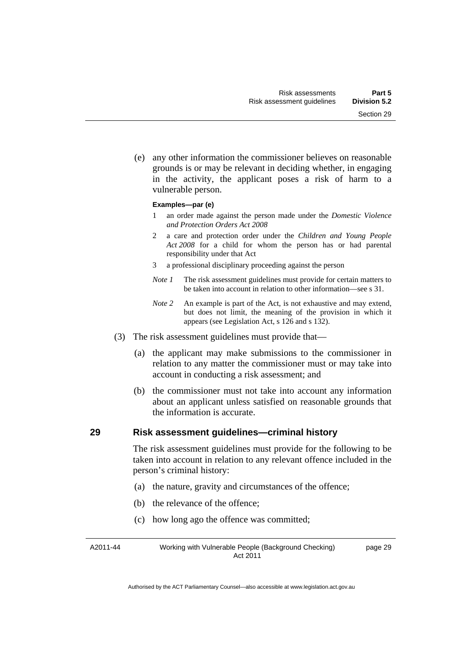(e) any other information the commissioner believes on reasonable grounds is or may be relevant in deciding whether, in engaging in the activity, the applicant poses a risk of harm to a

#### **Examples—par (e)**

vulnerable person.

- 1 an order made against the person made under the *Domestic Violence and Protection Orders Act 2008*
- 2 a care and protection order under the *Children and Young People Act 2008* for a child for whom the person has or had parental responsibility under that Act
- 3 a professional disciplinary proceeding against the person
- *Note 1* The risk assessment guidelines must provide for certain matters to be taken into account in relation to other information—see s 31.
- *Note 2* An example is part of the Act, is not exhaustive and may extend, but does not limit, the meaning of the provision in which it appears (see Legislation Act, s 126 and s 132).
- (3) The risk assessment guidelines must provide that—
	- (a) the applicant may make submissions to the commissioner in relation to any matter the commissioner must or may take into account in conducting a risk assessment; and
	- (b) the commissioner must not take into account any information about an applicant unless satisfied on reasonable grounds that the information is accurate.

# <span id="page-34-0"></span>**29 Risk assessment guidelines—criminal history**

The risk assessment guidelines must provide for the following to be taken into account in relation to any relevant offence included in the person's criminal history:

- (a) the nature, gravity and circumstances of the offence;
- (b) the relevance of the offence;
- (c) how long ago the offence was committed;

A2011-44 Working with Vulnerable People (Background Checking) Act 2011 page 29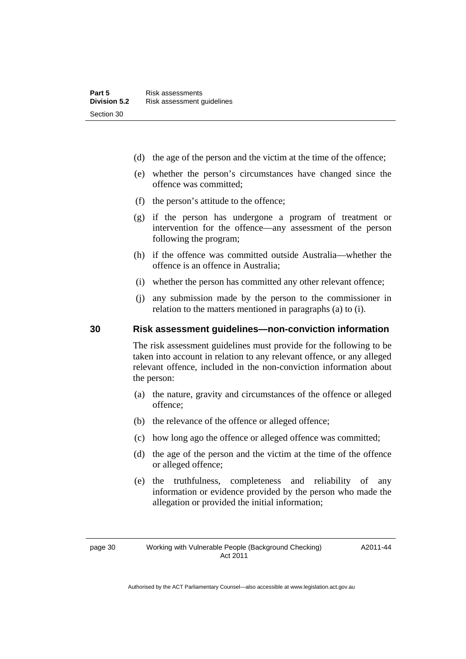- (d) the age of the person and the victim at the time of the offence;
- (e) whether the person's circumstances have changed since the offence was committed;
- (f) the person's attitude to the offence;
- (g) if the person has undergone a program of treatment or intervention for the offence—any assessment of the person following the program;
- (h) if the offence was committed outside Australia—whether the offence is an offence in Australia;
- (i) whether the person has committed any other relevant offence;
- (j) any submission made by the person to the commissioner in relation to the matters mentioned in paragraphs (a) to (i).

# <span id="page-35-0"></span>**30 Risk assessment guidelines—non-conviction information**

The risk assessment guidelines must provide for the following to be taken into account in relation to any relevant offence, or any alleged relevant offence, included in the non-conviction information about the person:

- (a) the nature, gravity and circumstances of the offence or alleged offence;
- (b) the relevance of the offence or alleged offence;
- (c) how long ago the offence or alleged offence was committed;
- (d) the age of the person and the victim at the time of the offence or alleged offence;
- (e) the truthfulness, completeness and reliability of any information or evidence provided by the person who made the allegation or provided the initial information;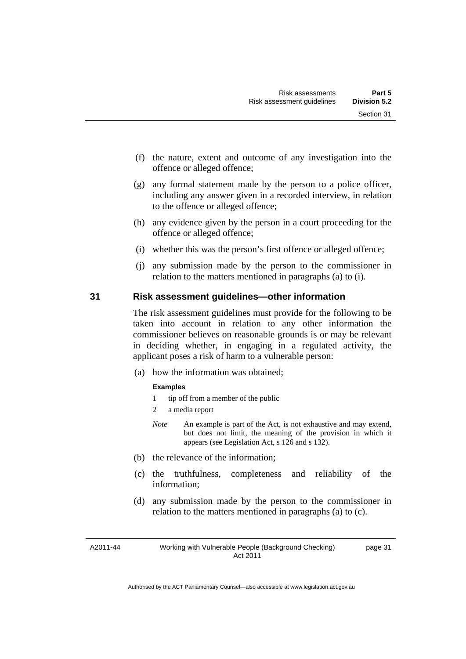- (f) the nature, extent and outcome of any investigation into the offence or alleged offence;
- (g) any formal statement made by the person to a police officer, including any answer given in a recorded interview, in relation to the offence or alleged offence;
- (h) any evidence given by the person in a court proceeding for the offence or alleged offence;
- (i) whether this was the person's first offence or alleged offence;
- (j) any submission made by the person to the commissioner in relation to the matters mentioned in paragraphs (a) to (i).

#### **31 Risk assessment guidelines—other information**

The risk assessment guidelines must provide for the following to be taken into account in relation to any other information the commissioner believes on reasonable grounds is or may be relevant in deciding whether, in engaging in a regulated activity, the applicant poses a risk of harm to a vulnerable person:

(a) how the information was obtained;

#### **Examples**

- 1 tip off from a member of the public
- 2 a media report
- *Note* An example is part of the Act, is not exhaustive and may extend, but does not limit, the meaning of the provision in which it appears (see Legislation Act, s 126 and s 132).
- (b) the relevance of the information;
- (c) the truthfulness, completeness and reliability of the information;
- (d) any submission made by the person to the commissioner in relation to the matters mentioned in paragraphs (a) to (c).

A2011-44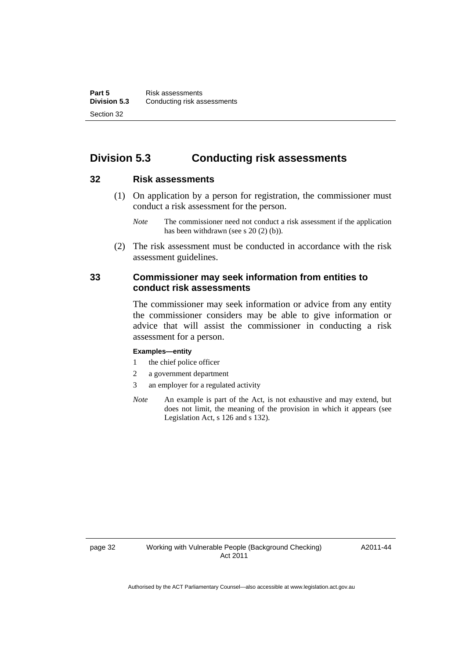# **Division 5.3 Conducting risk assessments**

#### **32 Risk assessments**

 (1) On application by a person for registration, the commissioner must conduct a risk assessment for the person.

 (2) The risk assessment must be conducted in accordance with the risk assessment guidelines.

#### **33 Commissioner may seek information from entities to conduct risk assessments**

The commissioner may seek information or advice from any entity the commissioner considers may be able to give information or advice that will assist the commissioner in conducting a risk assessment for a person.

#### **Examples—entity**

- 1 the chief police officer
- 2 a government department
- 3 an employer for a regulated activity
- *Note* An example is part of the Act, is not exhaustive and may extend, but does not limit, the meaning of the provision in which it appears (see Legislation Act, s 126 and s 132).

*Note* The commissioner need not conduct a risk assessment if the application has been withdrawn (see s 20 (2) (b)).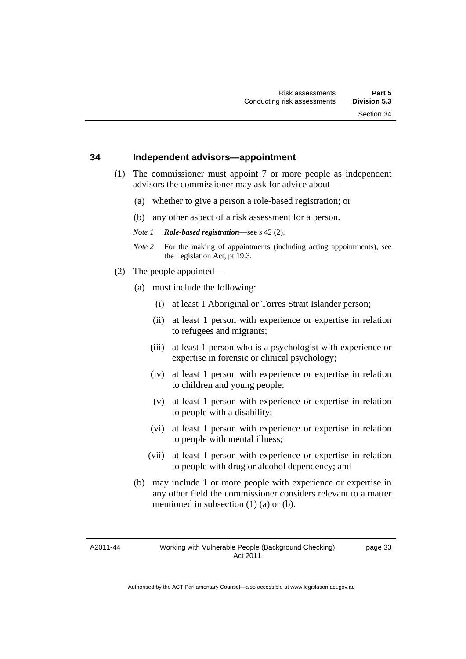#### **34 Independent advisors—appointment**

- (1) The commissioner must appoint 7 or more people as independent advisors the commissioner may ask for advice about—
	- (a) whether to give a person a role-based registration; or
	- (b) any other aspect of a risk assessment for a person.
	- *Note 1 Role-based registration*—see s 42 (2).
	- *Note 2* For the making of appointments (including acting appointments), see the Legislation Act, pt 19.3.
- (2) The people appointed—
	- (a) must include the following:
		- (i) at least 1 Aboriginal or Torres Strait Islander person;
		- (ii) at least 1 person with experience or expertise in relation to refugees and migrants;
		- (iii) at least 1 person who is a psychologist with experience or expertise in forensic or clinical psychology;
		- (iv) at least 1 person with experience or expertise in relation to children and young people;
		- (v) at least 1 person with experience or expertise in relation to people with a disability;
		- (vi) at least 1 person with experience or expertise in relation to people with mental illness;
		- (vii) at least 1 person with experience or expertise in relation to people with drug or alcohol dependency; and
	- (b) may include 1 or more people with experience or expertise in any other field the commissioner considers relevant to a matter mentioned in subsection (1) (a) or (b).

A2011-44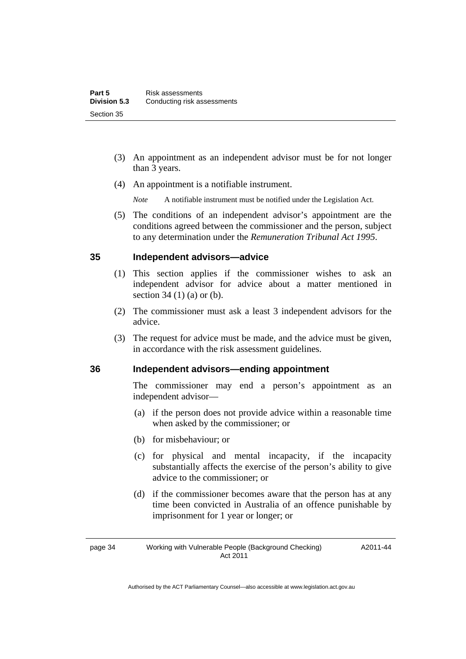- (3) An appointment as an independent advisor must be for not longer than 3 years.
- (4) An appointment is a notifiable instrument.
	- *Note* A notifiable instrument must be notified under the Legislation Act.
- (5) The conditions of an independent advisor's appointment are the conditions agreed between the commissioner and the person, subject to any determination under the *Remuneration Tribunal Act 1995*.

#### **35 Independent advisors—advice**

- (1) This section applies if the commissioner wishes to ask an independent advisor for advice about a matter mentioned in section 34 (1) (a) or (b).
- (2) The commissioner must ask a least 3 independent advisors for the advice.
- (3) The request for advice must be made, and the advice must be given, in accordance with the risk assessment guidelines.

#### **36 Independent advisors—ending appointment**

The commissioner may end a person's appointment as an independent advisor—

- (a) if the person does not provide advice within a reasonable time when asked by the commissioner; or
- (b) for misbehaviour; or
- (c) for physical and mental incapacity, if the incapacity substantially affects the exercise of the person's ability to give advice to the commissioner; or
- (d) if the commissioner becomes aware that the person has at any time been convicted in Australia of an offence punishable by imprisonment for 1 year or longer; or

#### page 34 Working with Vulnerable People (Background Checking) Act 2011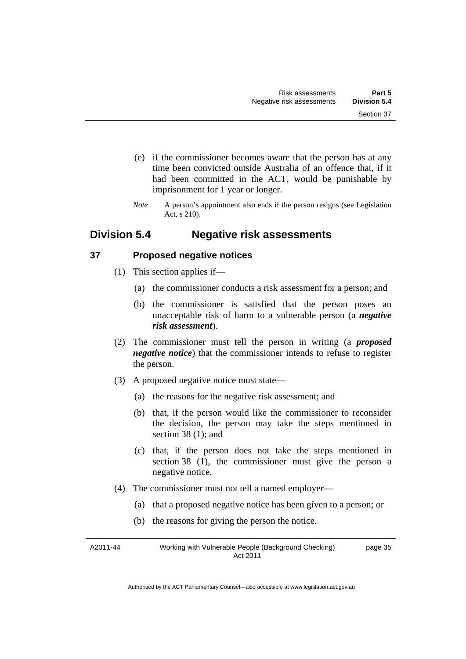- (e) if the commissioner becomes aware that the person has at any time been convicted outside Australia of an offence that, if it had been committed in the ACT, would be punishable by imprisonment for 1 year or longer.
- *Note* A person's appointment also ends if the person resigns (see Legislation Act, s 210).

# **Division 5.4 Negative risk assessments**

## **37 Proposed negative notices**

- (1) This section applies if—
	- (a) the commissioner conducts a risk assessment for a person; and
	- (b) the commissioner is satisfied that the person poses an unacceptable risk of harm to a vulnerable person (a *negative risk assessment*).
- (2) The commissioner must tell the person in writing (a *proposed negative notice*) that the commissioner intends to refuse to register the person.
- (3) A proposed negative notice must state—
	- (a) the reasons for the negative risk assessment; and
	- (b) that, if the person would like the commissioner to reconsider the decision, the person may take the steps mentioned in section 38 (1); and
	- (c) that, if the person does not take the steps mentioned in section 38 (1), the commissioner must give the person a negative notice.
- (4) The commissioner must not tell a named employer—
	- (a) that a proposed negative notice has been given to a person; or
	- (b) the reasons for giving the person the notice.

A2011-44 Working with Vulnerable People (Background Checking) Act 2011 page 35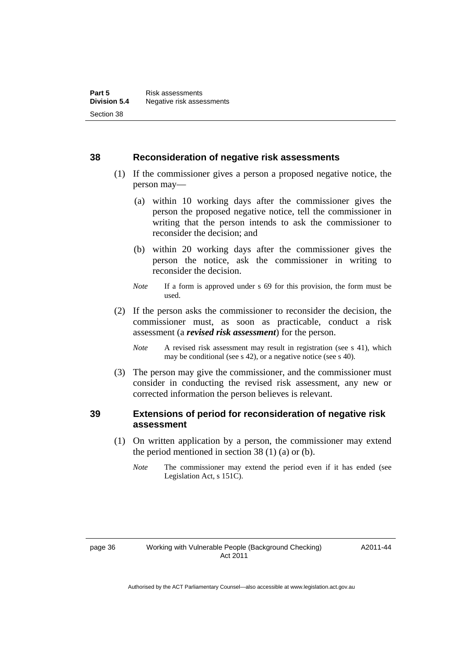#### **38 Reconsideration of negative risk assessments**

- (1) If the commissioner gives a person a proposed negative notice, the person may—
	- (a) within 10 working days after the commissioner gives the person the proposed negative notice, tell the commissioner in writing that the person intends to ask the commissioner to reconsider the decision; and
	- (b) within 20 working days after the commissioner gives the person the notice, ask the commissioner in writing to reconsider the decision.
	- *Note* If a form is approved under s 69 for this provision, the form must be used.
- (2) If the person asks the commissioner to reconsider the decision, the commissioner must, as soon as practicable, conduct a risk assessment (a *revised risk assessment*) for the person.
	- *Note* A revised risk assessment may result in registration (see s 41), which may be conditional (see s 42), or a negative notice (see s 40).
- (3) The person may give the commissioner, and the commissioner must consider in conducting the revised risk assessment, any new or corrected information the person believes is relevant.

## **39 Extensions of period for reconsideration of negative risk assessment**

- (1) On written application by a person, the commissioner may extend the period mentioned in section  $38(1)(a)$  or (b).
	- *Note* The commissioner may extend the period even if it has ended (see Legislation Act, s 151C).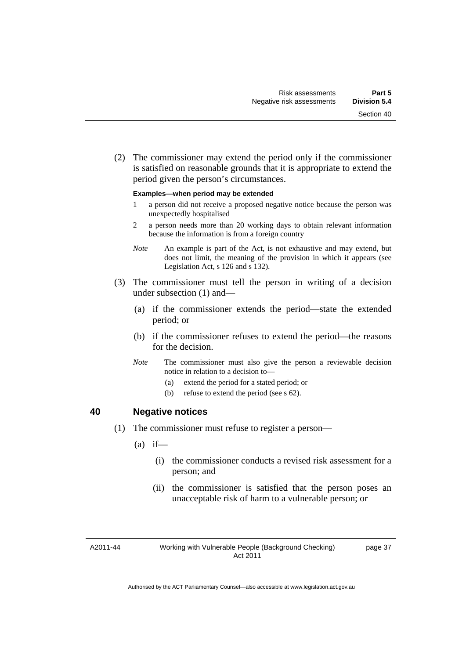(2) The commissioner may extend the period only if the commissioner is satisfied on reasonable grounds that it is appropriate to extend the period given the person's circumstances.

#### **Examples—when period may be extended**

- 1 a person did not receive a proposed negative notice because the person was unexpectedly hospitalised
- 2 a person needs more than 20 working days to obtain relevant information because the information is from a foreign country
- *Note* An example is part of the Act, is not exhaustive and may extend, but does not limit, the meaning of the provision in which it appears (see Legislation Act, s 126 and s 132).
- (3) The commissioner must tell the person in writing of a decision under subsection (1) and—
	- (a) if the commissioner extends the period—state the extended period; or
	- (b) if the commissioner refuses to extend the period—the reasons for the decision.
	- *Note* The commissioner must also give the person a reviewable decision notice in relation to a decision to—
		- (a) extend the period for a stated period; or
		- (b) refuse to extend the period (see s 62).

#### **40 Negative notices**

- (1) The commissioner must refuse to register a person—
	- $(a)$  if—
		- (i) the commissioner conducts a revised risk assessment for a person; and
		- (ii) the commissioner is satisfied that the person poses an unacceptable risk of harm to a vulnerable person; or

A2011-44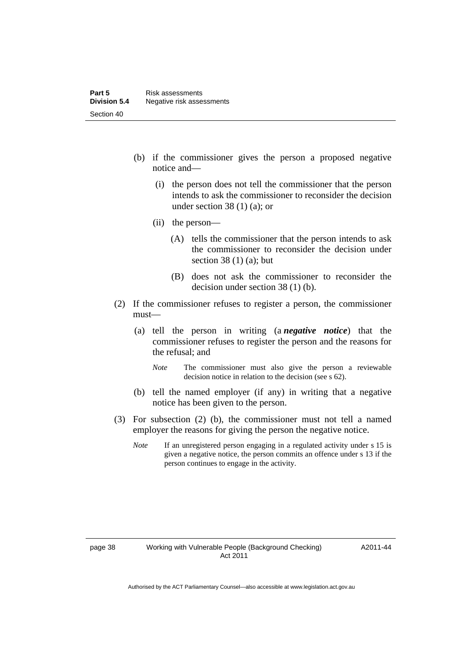- (b) if the commissioner gives the person a proposed negative notice and—
	- (i) the person does not tell the commissioner that the person intends to ask the commissioner to reconsider the decision under section 38 (1) (a); or
	- (ii) the person—
		- (A) tells the commissioner that the person intends to ask the commissioner to reconsider the decision under section 38 $(1)$  $(a)$ ; but
		- (B) does not ask the commissioner to reconsider the decision under section 38 (1) (b).
- (2) If the commissioner refuses to register a person, the commissioner must—
	- (a) tell the person in writing (a *negative notice*) that the commissioner refuses to register the person and the reasons for the refusal; and
		- *Note* The commissioner must also give the person a reviewable decision notice in relation to the decision (see s 62).
	- (b) tell the named employer (if any) in writing that a negative notice has been given to the person.
- (3) For subsection (2) (b), the commissioner must not tell a named employer the reasons for giving the person the negative notice.
	- *Note* If an unregistered person engaging in a regulated activity under s 15 is given a negative notice, the person commits an offence under s 13 if the person continues to engage in the activity.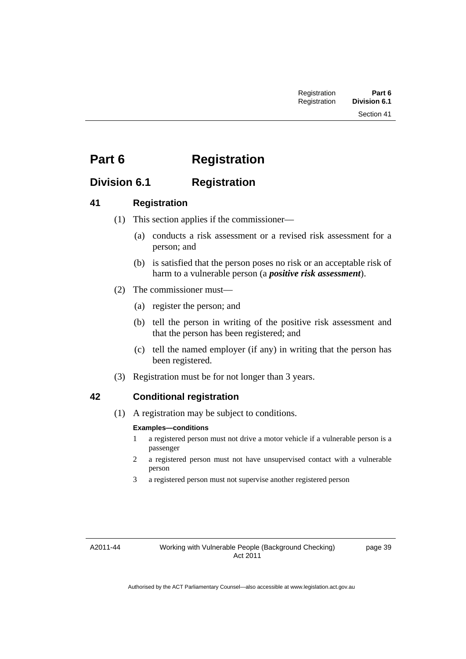# **Part 6 Registration**

# **Division 6.1 Registration**

## **41 Registration**

- (1) This section applies if the commissioner—
	- (a) conducts a risk assessment or a revised risk assessment for a person; and
	- (b) is satisfied that the person poses no risk or an acceptable risk of harm to a vulnerable person (a *positive risk assessment*).
- (2) The commissioner must—
	- (a) register the person; and
	- (b) tell the person in writing of the positive risk assessment and that the person has been registered; and
	- (c) tell the named employer (if any) in writing that the person has been registered.
- (3) Registration must be for not longer than 3 years.

## **42 Conditional registration**

(1) A registration may be subject to conditions.

#### **Examples—conditions**

- 1 a registered person must not drive a motor vehicle if a vulnerable person is a passenger
- 2 a registered person must not have unsupervised contact with a vulnerable person
- 3 a registered person must not supervise another registered person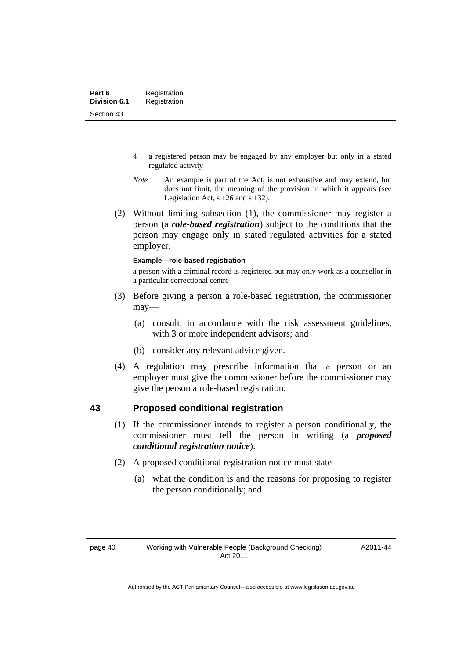- 4 a registered person may be engaged by any employer but only in a stated regulated activity
- *Note* An example is part of the Act, is not exhaustive and may extend, but does not limit, the meaning of the provision in which it appears (see Legislation Act, s 126 and s 132).
- (2) Without limiting subsection (1), the commissioner may register a person (a *role-based registration*) subject to the conditions that the person may engage only in stated regulated activities for a stated employer.

#### **Example—role-based registration**

a person with a criminal record is registered but may only work as a counsellor in a particular correctional centre

- (3) Before giving a person a role-based registration, the commissioner may—
	- (a) consult, in accordance with the risk assessment guidelines, with 3 or more independent advisors; and
	- (b) consider any relevant advice given.
- (4) A regulation may prescribe information that a person or an employer must give the commissioner before the commissioner may give the person a role-based registration.

## **43 Proposed conditional registration**

- (1) If the commissioner intends to register a person conditionally, the commissioner must tell the person in writing (a *proposed conditional registration notice*).
- (2) A proposed conditional registration notice must state—
	- (a) what the condition is and the reasons for proposing to register the person conditionally; and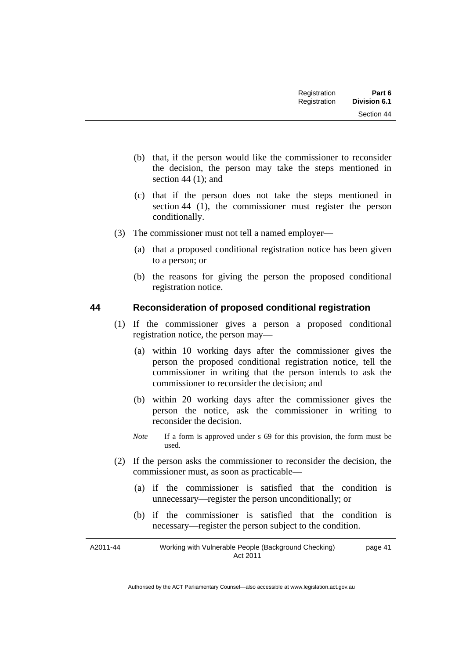| Registration | Part 6              |
|--------------|---------------------|
| Registration | <b>Division 6.1</b> |

- (b) that, if the person would like the commissioner to reconsider the decision, the person may take the steps mentioned in section 44 (1); and
- (c) that if the person does not take the steps mentioned in section 44 (1), the commissioner must register the person conditionally.
- (3) The commissioner must not tell a named employer—
	- (a) that a proposed conditional registration notice has been given to a person; or
	- (b) the reasons for giving the person the proposed conditional registration notice.

## **44 Reconsideration of proposed conditional registration**

- (1) If the commissioner gives a person a proposed conditional registration notice, the person may—
	- (a) within 10 working days after the commissioner gives the person the proposed conditional registration notice, tell the commissioner in writing that the person intends to ask the commissioner to reconsider the decision; and
	- (b) within 20 working days after the commissioner gives the person the notice, ask the commissioner in writing to reconsider the decision.
	- *Note* If a form is approved under s 69 for this provision, the form must be used.
- (2) If the person asks the commissioner to reconsider the decision, the commissioner must, as soon as practicable—
	- (a) if the commissioner is satisfied that the condition is unnecessary—register the person unconditionally; or
	- (b) if the commissioner is satisfied that the condition is necessary—register the person subject to the condition.

| A2011-44 | Working with Vulnerable People (Background Checking) | page 41 |
|----------|------------------------------------------------------|---------|
|          | Act 2011                                             |         |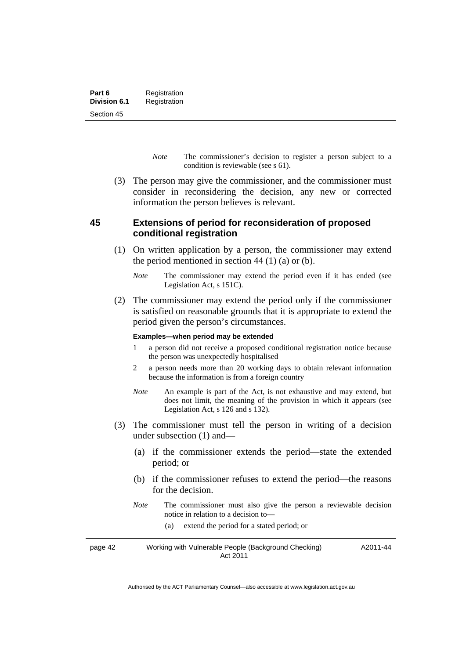- *Note* The commissioner's decision to register a person subject to a condition is reviewable (see s 61).
- (3) The person may give the commissioner, and the commissioner must consider in reconsidering the decision, any new or corrected information the person believes is relevant.

## **45 Extensions of period for reconsideration of proposed conditional registration**

- (1) On written application by a person, the commissioner may extend the period mentioned in section  $44$  (1) (a) or (b).
	- *Note* The commissioner may extend the period even if it has ended (see Legislation Act, s 151C).
- (2) The commissioner may extend the period only if the commissioner is satisfied on reasonable grounds that it is appropriate to extend the period given the person's circumstances.

#### **Examples—when period may be extended**

- 1 a person did not receive a proposed conditional registration notice because the person was unexpectedly hospitalised
- 2 a person needs more than 20 working days to obtain relevant information because the information is from a foreign country
- *Note* An example is part of the Act, is not exhaustive and may extend, but does not limit, the meaning of the provision in which it appears (see Legislation Act, s 126 and s 132).
- (3) The commissioner must tell the person in writing of a decision under subsection (1) and—
	- (a) if the commissioner extends the period—state the extended period; or
	- (b) if the commissioner refuses to extend the period—the reasons for the decision.
	- *Note* The commissioner must also give the person a reviewable decision notice in relation to a decision to—
		- (a) extend the period for a stated period; or

page 42 Working with Vulnerable People (Background Checking) Act 2011 A2011-44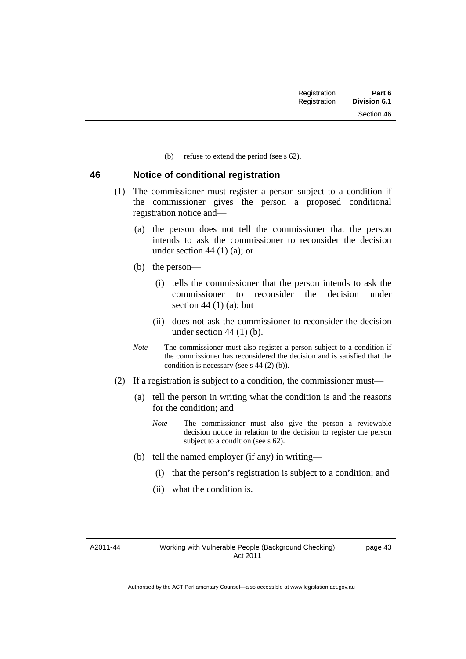(b) refuse to extend the period (see s 62).

#### **46 Notice of conditional registration**

- (1) The commissioner must register a person subject to a condition if the commissioner gives the person a proposed conditional registration notice and—
	- (a) the person does not tell the commissioner that the person intends to ask the commissioner to reconsider the decision under section 44  $(1)$  (a); or
	- (b) the person—
		- (i) tells the commissioner that the person intends to ask the commissioner to reconsider the decision under section  $44(1)(a)$ ; but
		- (ii) does not ask the commissioner to reconsider the decision under section  $44$  (1) (b).
	- *Note* The commissioner must also register a person subject to a condition if the commissioner has reconsidered the decision and is satisfied that the condition is necessary (see s 44 (2) (b)).
- (2) If a registration is subject to a condition, the commissioner must—
	- (a) tell the person in writing what the condition is and the reasons for the condition; and
		- *Note* The commissioner must also give the person a reviewable decision notice in relation to the decision to register the person subject to a condition (see s 62).
	- (b) tell the named employer (if any) in writing—
		- (i) that the person's registration is subject to a condition; and
		- (ii) what the condition is.

A2011-44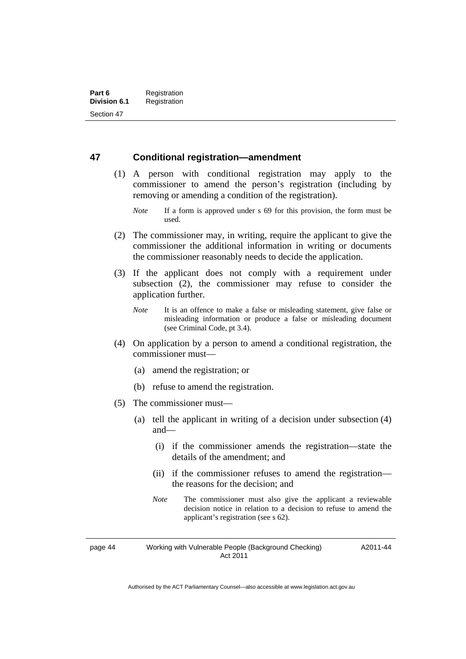### **47 Conditional registration—amendment**

- (1) A person with conditional registration may apply to the commissioner to amend the person's registration (including by removing or amending a condition of the registration).
	- *Note* If a form is approved under s 69 for this provision, the form must be used.
- (2) The commissioner may, in writing, require the applicant to give the commissioner the additional information in writing or documents the commissioner reasonably needs to decide the application.
- (3) If the applicant does not comply with a requirement under subsection (2), the commissioner may refuse to consider the application further.
	- *Note* It is an offence to make a false or misleading statement, give false or misleading information or produce a false or misleading document (see Criminal Code, pt 3.4).
- (4) On application by a person to amend a conditional registration, the commissioner must—
	- (a) amend the registration; or
	- (b) refuse to amend the registration.
- (5) The commissioner must—
	- (a) tell the applicant in writing of a decision under subsection (4) and—
		- (i) if the commissioner amends the registration—state the details of the amendment; and
		- (ii) if the commissioner refuses to amend the registration the reasons for the decision; and
		- *Note* The commissioner must also give the applicant a reviewable decision notice in relation to a decision to refuse to amend the applicant's registration (see s 62).

page 44 Working with Vulnerable People (Background Checking) Act 2011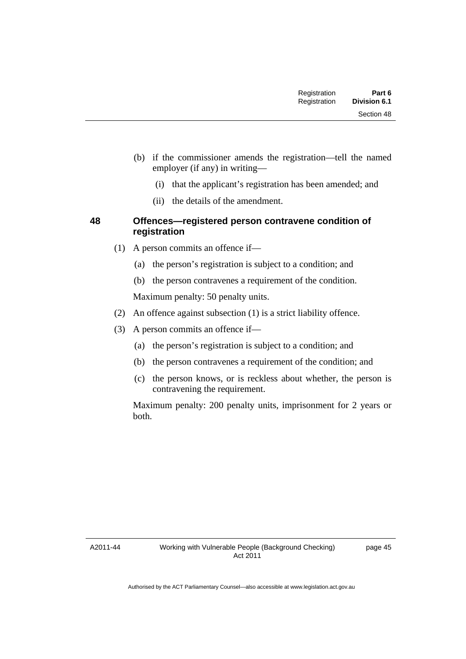Section 48

- (i) that the applicant's registration has been amended; and
- (ii) the details of the amendment.

employer (if any) in writing—

## **48 Offences—registered person contravene condition of registration**

- (1) A person commits an offence if—
	- (a) the person's registration is subject to a condition; and
	- (b) the person contravenes a requirement of the condition.

Maximum penalty: 50 penalty units.

- (2) An offence against subsection (1) is a strict liability offence.
- (3) A person commits an offence if—
	- (a) the person's registration is subject to a condition; and
	- (b) the person contravenes a requirement of the condition; and
	- (c) the person knows, or is reckless about whether, the person is contravening the requirement.

Maximum penalty: 200 penalty units, imprisonment for 2 years or both.

A2011-44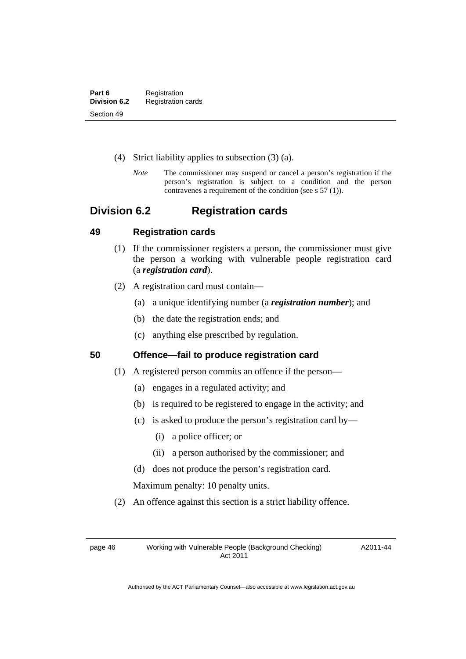- (4) Strict liability applies to subsection (3) (a).
	- *Note* The commissioner may suspend or cancel a person's registration if the person's registration is subject to a condition and the person contravenes a requirement of the condition (see s 57 (1)).

# **Division 6.2 Registration cards**

## **49 Registration cards**

- (1) If the commissioner registers a person, the commissioner must give the person a working with vulnerable people registration card (a *registration card*).
- (2) A registration card must contain—
	- (a) a unique identifying number (a *registration number*); and
	- (b) the date the registration ends; and
	- (c) anything else prescribed by regulation.

**50 Offence—fail to produce registration card** 

- (1) A registered person commits an offence if the person—
	- (a) engages in a regulated activity; and
	- (b) is required to be registered to engage in the activity; and
	- (c) is asked to produce the person's registration card by—
		- (i) a police officer; or
		- (ii) a person authorised by the commissioner; and
	- (d) does not produce the person's registration card.

Maximum penalty: 10 penalty units.

(2) An offence against this section is a strict liability offence.

page 46 Working with Vulnerable People (Background Checking) Act 2011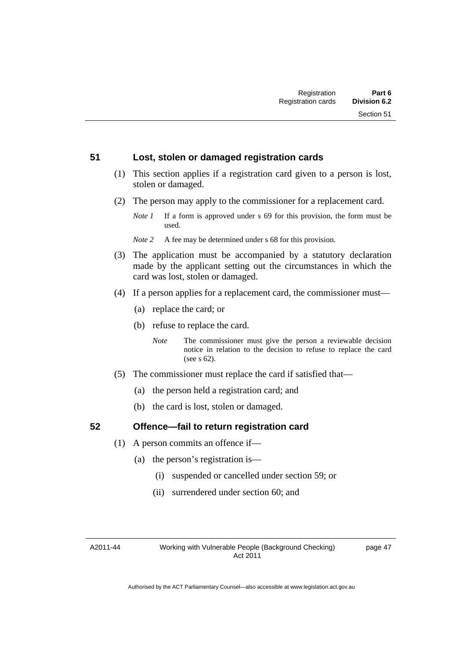#### **51 Lost, stolen or damaged registration cards**

- (1) This section applies if a registration card given to a person is lost, stolen or damaged.
- (2) The person may apply to the commissioner for a replacement card.
	- *Note 1* If a form is approved under s 69 for this provision, the form must be used.
	- *Note 2* A fee may be determined under s 68 for this provision.
- (3) The application must be accompanied by a statutory declaration made by the applicant setting out the circumstances in which the card was lost, stolen or damaged.
- (4) If a person applies for a replacement card, the commissioner must—
	- (a) replace the card; or
	- (b) refuse to replace the card.
		- *Note* The commissioner must give the person a reviewable decision notice in relation to the decision to refuse to replace the card (see s 62).
- (5) The commissioner must replace the card if satisfied that—
	- (a) the person held a registration card; and
	- (b) the card is lost, stolen or damaged.

### **52 Offence—fail to return registration card**

- (1) A person commits an offence if—
	- (a) the person's registration is—
		- (i) suspended or cancelled under section 59; or
		- (ii) surrendered under section 60; and

A2011-44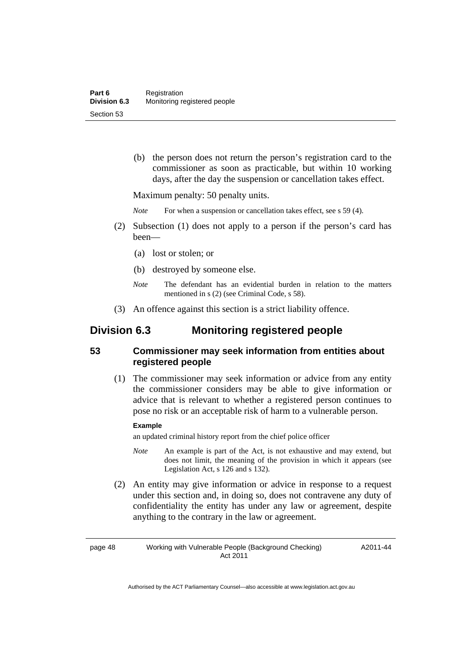(b) the person does not return the person's registration card to the commissioner as soon as practicable, but within 10 working days, after the day the suspension or cancellation takes effect.

Maximum penalty: 50 penalty units.

*Note* For when a suspension or cancellation takes effect, see s 59 (4).

- (2) Subsection (1) does not apply to a person if the person's card has been—
	- (a) lost or stolen; or
	- (b) destroyed by someone else.
	- *Note* The defendant has an evidential burden in relation to the matters mentioned in s (2) (see Criminal Code, s 58).
- (3) An offence against this section is a strict liability offence.

## **Division 6.3 Monitoring registered people**

## **53 Commissioner may seek information from entities about registered people**

 (1) The commissioner may seek information or advice from any entity the commissioner considers may be able to give information or advice that is relevant to whether a registered person continues to pose no risk or an acceptable risk of harm to a vulnerable person.

#### **Example**

an updated criminal history report from the chief police officer

- *Note* An example is part of the Act, is not exhaustive and may extend, but does not limit, the meaning of the provision in which it appears (see Legislation Act, s 126 and s 132).
- (2) An entity may give information or advice in response to a request under this section and, in doing so, does not contravene any duty of confidentiality the entity has under any law or agreement, despite anything to the contrary in the law or agreement.

page 48 Working with Vulnerable People (Background Checking) Act 2011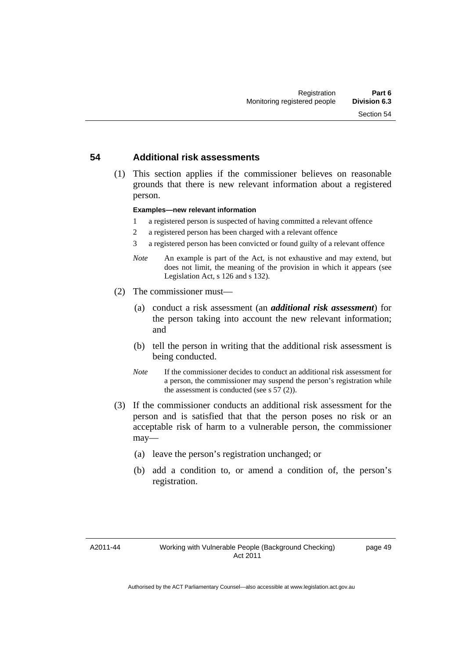#### **54 Additional risk assessments**

 (1) This section applies if the commissioner believes on reasonable grounds that there is new relevant information about a registered person.

#### **Examples—new relevant information**

- 1 a registered person is suspected of having committed a relevant offence
- 2 a registered person has been charged with a relevant offence
- 3 a registered person has been convicted or found guilty of a relevant offence
- *Note* An example is part of the Act, is not exhaustive and may extend, but does not limit, the meaning of the provision in which it appears (see Legislation Act, s 126 and s 132).
- (2) The commissioner must—
	- (a) conduct a risk assessment (an *additional risk assessment*) for the person taking into account the new relevant information; and
	- (b) tell the person in writing that the additional risk assessment is being conducted.
	- *Note* If the commissioner decides to conduct an additional risk assessment for a person, the commissioner may suspend the person's registration while the assessment is conducted (see s 57 (2)).
- (3) If the commissioner conducts an additional risk assessment for the person and is satisfied that that the person poses no risk or an acceptable risk of harm to a vulnerable person, the commissioner may—
	- (a) leave the person's registration unchanged; or
	- (b) add a condition to, or amend a condition of, the person's registration.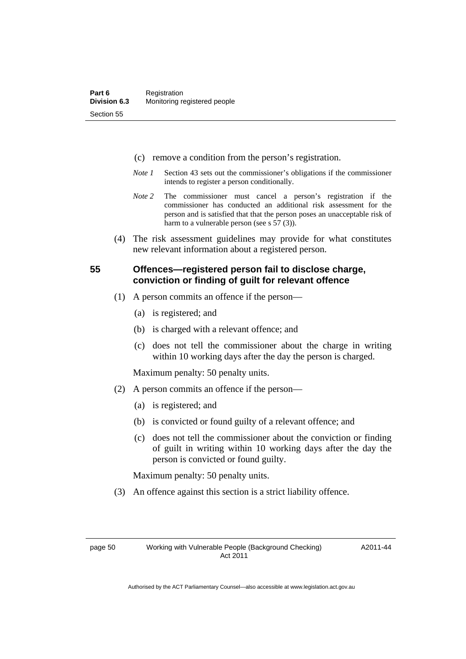- (c) remove a condition from the person's registration.
- *Note 1* Section 43 sets out the commissioner's obligations if the commissioner intends to register a person conditionally.
- *Note 2* The commissioner must cancel a person's registration if the commissioner has conducted an additional risk assessment for the person and is satisfied that that the person poses an unacceptable risk of harm to a vulnerable person (see s 57 (3)).
- (4) The risk assessment guidelines may provide for what constitutes new relevant information about a registered person.

## **55 Offences—registered person fail to disclose charge, conviction or finding of guilt for relevant offence**

- (1) A person commits an offence if the person—
	- (a) is registered; and
	- (b) is charged with a relevant offence; and
	- (c) does not tell the commissioner about the charge in writing within 10 working days after the day the person is charged.

Maximum penalty: 50 penalty units.

- (2) A person commits an offence if the person—
	- (a) is registered; and
	- (b) is convicted or found guilty of a relevant offence; and
	- (c) does not tell the commissioner about the conviction or finding of guilt in writing within 10 working days after the day the person is convicted or found guilty.

Maximum penalty: 50 penalty units.

(3) An offence against this section is a strict liability offence.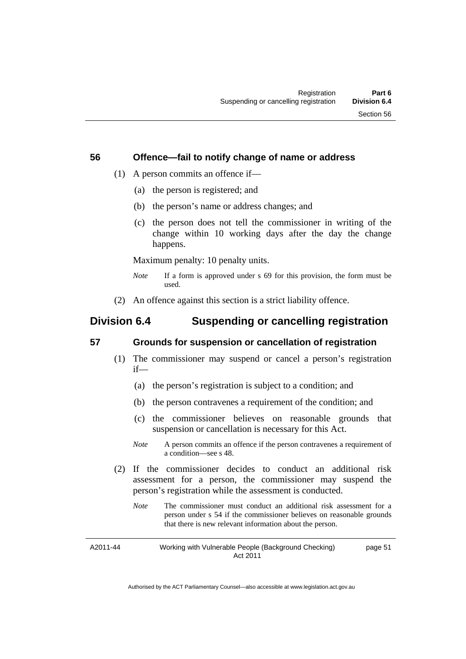#### **56 Offence—fail to notify change of name or address**

- (1) A person commits an offence if—
	- (a) the person is registered; and
	- (b) the person's name or address changes; and
	- (c) the person does not tell the commissioner in writing of the change within 10 working days after the day the change happens.

Maximum penalty: 10 penalty units.

- *Note* If a form is approved under s 69 for this provision, the form must be used.
- (2) An offence against this section is a strict liability offence.

# **Division 6.4 Suspending or cancelling registration**

## **57 Grounds for suspension or cancellation of registration**

- (1) The commissioner may suspend or cancel a person's registration if—
	- (a) the person's registration is subject to a condition; and
	- (b) the person contravenes a requirement of the condition; and
	- (c) the commissioner believes on reasonable grounds that suspension or cancellation is necessary for this Act.
	- *Note* A person commits an offence if the person contravenes a requirement of a condition—see s 48.
- (2) If the commissioner decides to conduct an additional risk assessment for a person, the commissioner may suspend the person's registration while the assessment is conducted.
	- *Note* The commissioner must conduct an additional risk assessment for a person under s 54 if the commissioner believes on reasonable grounds that there is new relevant information about the person.

A2011-44 Working with Vulnerable People (Background Checking) Act 2011 page 51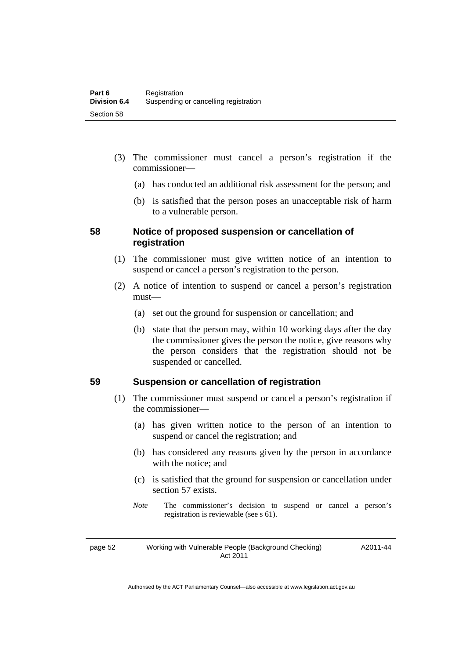- (3) The commissioner must cancel a person's registration if the commissioner—
	- (a) has conducted an additional risk assessment for the person; and
	- (b) is satisfied that the person poses an unacceptable risk of harm to a vulnerable person.

## **58 Notice of proposed suspension or cancellation of registration**

- (1) The commissioner must give written notice of an intention to suspend or cancel a person's registration to the person.
- (2) A notice of intention to suspend or cancel a person's registration must—
	- (a) set out the ground for suspension or cancellation; and
	- (b) state that the person may, within 10 working days after the day the commissioner gives the person the notice, give reasons why the person considers that the registration should not be suspended or cancelled.

## **59 Suspension or cancellation of registration**

- (1) The commissioner must suspend or cancel a person's registration if the commissioner—
	- (a) has given written notice to the person of an intention to suspend or cancel the registration; and
	- (b) has considered any reasons given by the person in accordance with the notice; and
	- (c) is satisfied that the ground for suspension or cancellation under section 57 exists.
	- *Note* The commissioner's decision to suspend or cancel a person's registration is reviewable (see s 61).

#### page 52 Working with Vulnerable People (Background Checking) Act 2011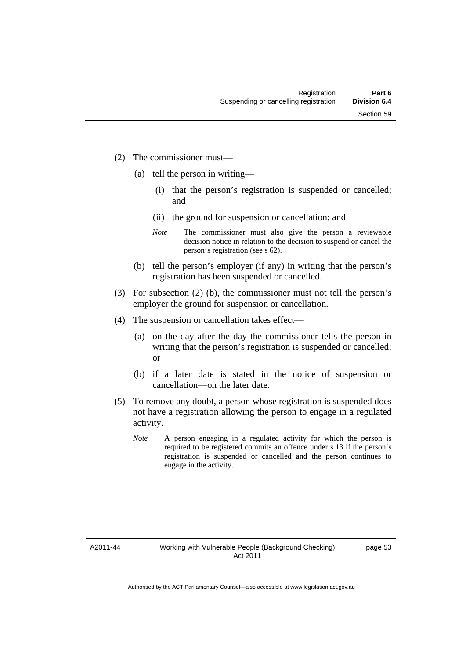- (2) The commissioner must—
	- (a) tell the person in writing—
		- (i) that the person's registration is suspended or cancelled; and
		- (ii) the ground for suspension or cancellation; and
		- *Note* The commissioner must also give the person a reviewable decision notice in relation to the decision to suspend or cancel the person's registration (see s 62).
	- (b) tell the person's employer (if any) in writing that the person's registration has been suspended or cancelled.
- (3) For subsection (2) (b), the commissioner must not tell the person's employer the ground for suspension or cancellation.
- (4) The suspension or cancellation takes effect—
	- (a) on the day after the day the commissioner tells the person in writing that the person's registration is suspended or cancelled; or
	- (b) if a later date is stated in the notice of suspension or cancellation—on the later date.
- (5) To remove any doubt, a person whose registration is suspended does not have a registration allowing the person to engage in a regulated activity.
	- *Note* A person engaging in a regulated activity for which the person is required to be registered commits an offence under s 13 if the person's registration is suspended or cancelled and the person continues to engage in the activity.

A2011-44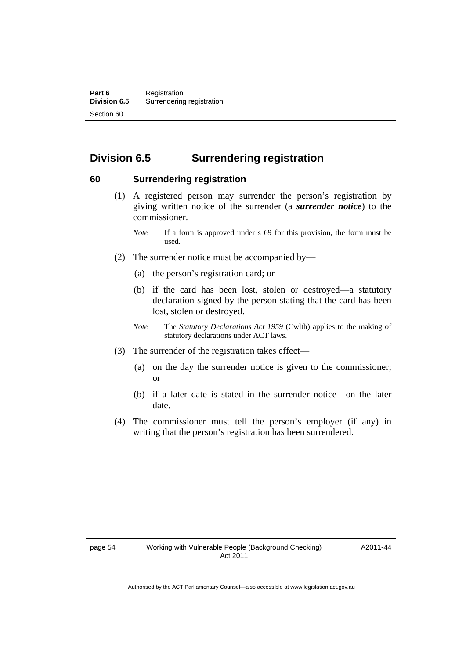# **Division 6.5 Surrendering registration**

## **60 Surrendering registration**

- (1) A registered person may surrender the person's registration by giving written notice of the surrender (a *surrender notice*) to the commissioner.
	- *Note* If a form is approved under s 69 for this provision, the form must be used.
- (2) The surrender notice must be accompanied by—
	- (a) the person's registration card; or
	- (b) if the card has been lost, stolen or destroyed—a statutory declaration signed by the person stating that the card has been lost, stolen or destroyed.
	- *Note* The *Statutory Declarations Act 1959* (Cwlth) applies to the making of statutory declarations under ACT laws.
- (3) The surrender of the registration takes effect—
	- (a) on the day the surrender notice is given to the commissioner; or
	- (b) if a later date is stated in the surrender notice—on the later date.
- (4) The commissioner must tell the person's employer (if any) in writing that the person's registration has been surrendered.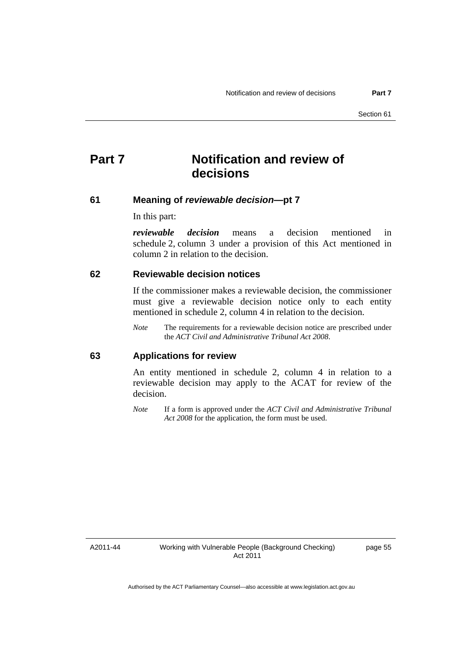# **Part 7 Notification and review of decisions**

#### **61 Meaning of** *reviewable decision***—pt 7**

In this part:

*reviewable decision* means a decision mentioned in schedule 2, column 3 under a provision of this Act mentioned in column 2 in relation to the decision.

#### **62 Reviewable decision notices**

If the commissioner makes a reviewable decision, the commissioner must give a reviewable decision notice only to each entity mentioned in schedule 2, column 4 in relation to the decision.

*Note* The requirements for a reviewable decision notice are prescribed under the *ACT Civil and Administrative Tribunal Act 2008*.

#### **63 Applications for review**

An entity mentioned in schedule 2, column 4 in relation to a reviewable decision may apply to the ACAT for review of the decision.

*Note* If a form is approved under the *ACT Civil and Administrative Tribunal Act 2008* for the application, the form must be used.

A2011-44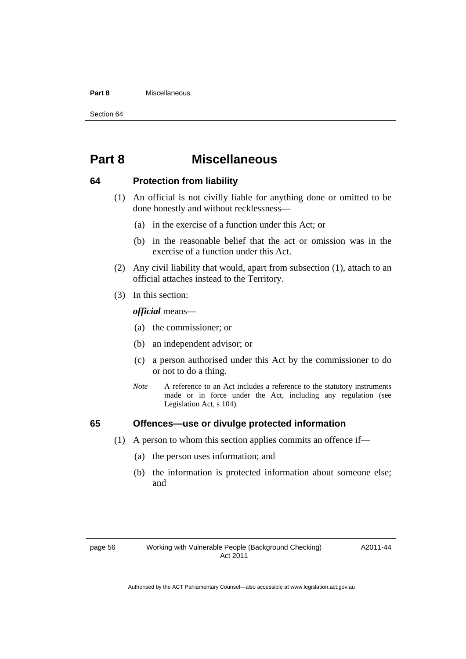#### **Part 8** Miscellaneous

Section 64

# **Part 8 Miscellaneous**

#### **64 Protection from liability**

- (1) An official is not civilly liable for anything done or omitted to be done honestly and without recklessness—
	- (a) in the exercise of a function under this Act; or
	- (b) in the reasonable belief that the act or omission was in the exercise of a function under this Act.
- (2) Any civil liability that would, apart from subsection (1), attach to an official attaches instead to the Territory.
- (3) In this section:

*official* means—

- (a) the commissioner; or
- (b) an independent advisor; or
- (c) a person authorised under this Act by the commissioner to do or not to do a thing.
- *Note* A reference to an Act includes a reference to the statutory instruments made or in force under the Act, including any regulation (see Legislation Act, s 104).

### **65 Offences—use or divulge protected information**

- (1) A person to whom this section applies commits an offence if—
	- (a) the person uses information; and
	- (b) the information is protected information about someone else; and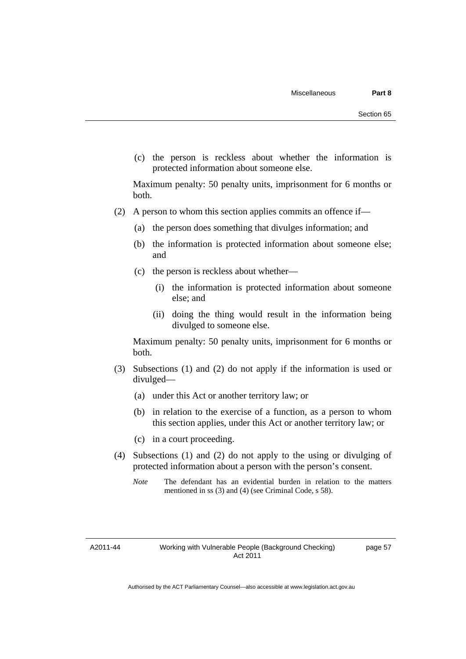(c) the person is reckless about whether the information is protected information about someone else.

Maximum penalty: 50 penalty units, imprisonment for 6 months or both.

- (2) A person to whom this section applies commits an offence if—
	- (a) the person does something that divulges information; and
	- (b) the information is protected information about someone else; and
	- (c) the person is reckless about whether—
		- (i) the information is protected information about someone else; and
		- (ii) doing the thing would result in the information being divulged to someone else.

Maximum penalty: 50 penalty units, imprisonment for 6 months or both.

- (3) Subsections (1) and (2) do not apply if the information is used or divulged—
	- (a) under this Act or another territory law; or
	- (b) in relation to the exercise of a function, as a person to whom this section applies, under this Act or another territory law; or
	- (c) in a court proceeding.
- (4) Subsections (1) and (2) do not apply to the using or divulging of protected information about a person with the person's consent.
	- *Note* The defendant has an evidential burden in relation to the matters mentioned in ss (3) and (4) (see Criminal Code, s 58).

A2011-44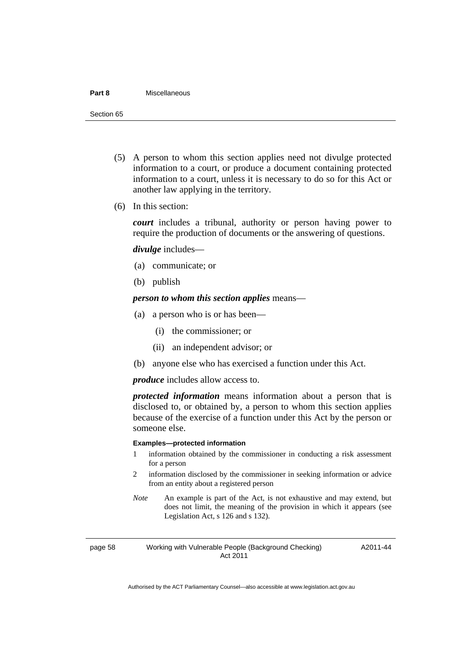#### **Part 8** Miscellaneous

Section 65

- (5) A person to whom this section applies need not divulge protected information to a court, or produce a document containing protected information to a court, unless it is necessary to do so for this Act or another law applying in the territory.
- (6) In this section:

*court* includes a tribunal, authority or person having power to require the production of documents or the answering of questions.

*divulge* includes—

- (a) communicate; or
- (b) publish

*person to whom this section applies* means—

- (a) a person who is or has been—
	- (i) the commissioner; or
	- (ii) an independent advisor; or
- (b) anyone else who has exercised a function under this Act.

*produce* includes allow access to.

*protected information* means information about a person that is disclosed to, or obtained by, a person to whom this section applies because of the exercise of a function under this Act by the person or someone else.

#### **Examples—protected information**

- 1 information obtained by the commissioner in conducting a risk assessment for a person
- 2 information disclosed by the commissioner in seeking information or advice from an entity about a registered person
- *Note* An example is part of the Act, is not exhaustive and may extend, but does not limit, the meaning of the provision in which it appears (see Legislation Act, s 126 and s 132).

page 58 Working with Vulnerable People (Background Checking) Act 2011

A2011-44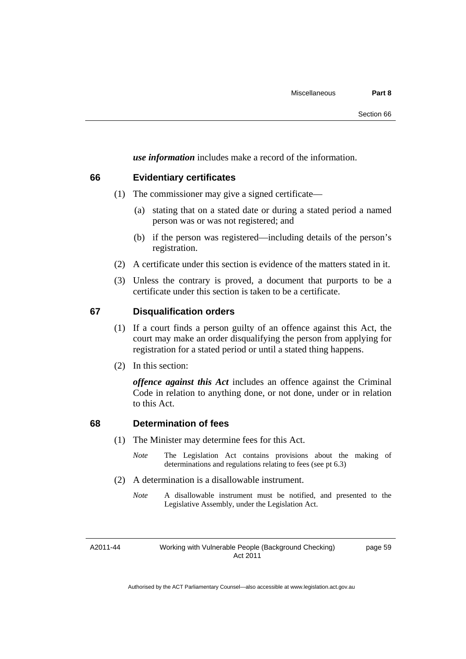*use information* includes make a record of the information.

## **66 Evidentiary certificates**

- (1) The commissioner may give a signed certificate—
	- (a) stating that on a stated date or during a stated period a named person was or was not registered; and
	- (b) if the person was registered—including details of the person's registration.
- (2) A certificate under this section is evidence of the matters stated in it.
- (3) Unless the contrary is proved, a document that purports to be a certificate under this section is taken to be a certificate.

## **67 Disqualification orders**

- (1) If a court finds a person guilty of an offence against this Act, the court may make an order disqualifying the person from applying for registration for a stated period or until a stated thing happens.
- (2) In this section:

*offence against this Act* includes an offence against the Criminal Code in relation to anything done, or not done, under or in relation to this Act.

## **68 Determination of fees**

- (1) The Minister may determine fees for this Act.
	- *Note* The Legislation Act contains provisions about the making of determinations and regulations relating to fees (see pt 6.3)
- (2) A determination is a disallowable instrument.
	- *Note* A disallowable instrument must be notified, and presented to the Legislative Assembly, under the Legislation Act.

A2011-44

Working with Vulnerable People (Background Checking) Act 2011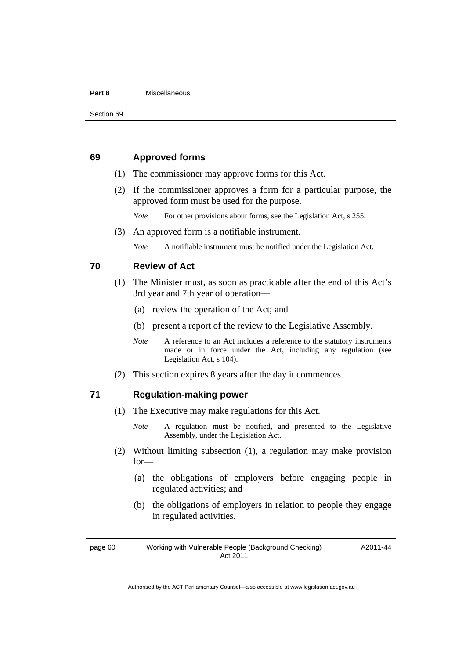#### **Part 8** Miscellaneous

#### **69 Approved forms**

- (1) The commissioner may approve forms for this Act.
- (2) If the commissioner approves a form for a particular purpose, the approved form must be used for the purpose.

*Note* For other provisions about forms, see the Legislation Act, s 255.

(3) An approved form is a notifiable instrument.

*Note* A notifiable instrument must be notified under the Legislation Act.

#### **70 Review of Act**

- (1) The Minister must, as soon as practicable after the end of this Act's 3rd year and 7th year of operation—
	- (a) review the operation of the Act; and
	- (b) present a report of the review to the Legislative Assembly.
	- *Note* A reference to an Act includes a reference to the statutory instruments made or in force under the Act, including any regulation (see Legislation Act, s 104).
- (2) This section expires 8 years after the day it commences.

#### **71 Regulation-making power**

- (1) The Executive may make regulations for this Act.
	- *Note* A regulation must be notified, and presented to the Legislative Assembly, under the Legislation Act.
- (2) Without limiting subsection (1), a regulation may make provision for—
	- (a) the obligations of employers before engaging people in regulated activities; and
	- (b) the obligations of employers in relation to people they engage in regulated activities.

page 60 Working with Vulnerable People (Background Checking) Act 2011

A2011-44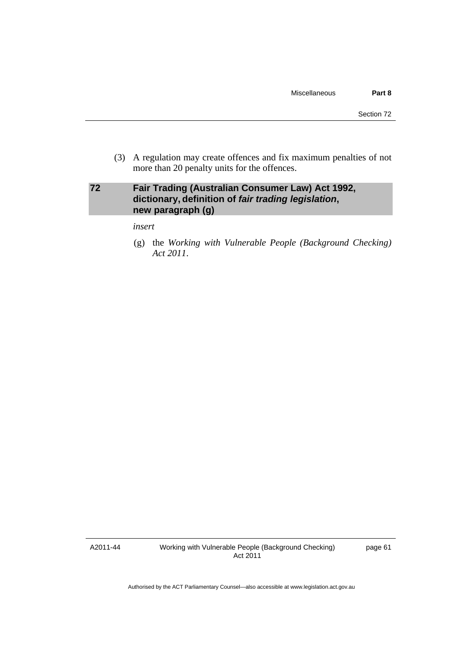(3) A regulation may create offences and fix maximum penalties of not more than 20 penalty units for the offences.

## **72 Fair Trading (Australian Consumer Law) Act 1992, dictionary, definition of** *fair trading legislation***, new paragraph (g)**

*insert* 

 (g) the *Working with Vulnerable People (Background Checking) Act 2011*.

A2011-44

Working with Vulnerable People (Background Checking) Act 2011

page 61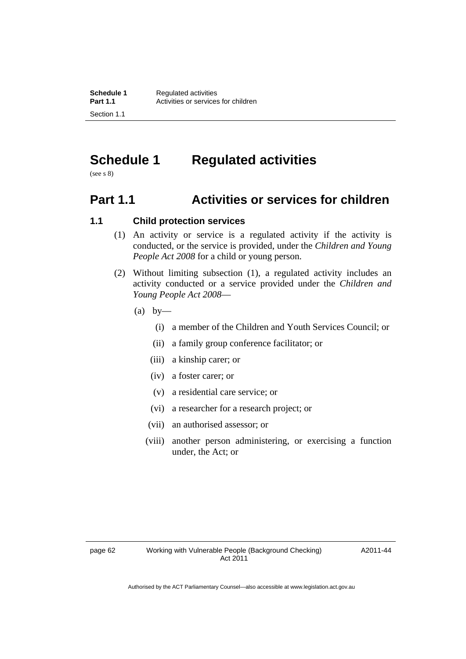# **Schedule 1 Regulated activities**

(see s 8)

# **Part 1.1 Activities or services for children**

## **1.1 Child protection services**

- (1) An activity or service is a regulated activity if the activity is conducted, or the service is provided, under the *Children and Young People Act 2008* for a child or young person.
- (2) Without limiting subsection (1), a regulated activity includes an activity conducted or a service provided under the *Children and Young People Act 2008*—
	- $(a)$  by—
		- (i) a member of the Children and Youth Services Council; or
		- (ii) a family group conference facilitator; or
		- (iii) a kinship carer; or
		- (iv) a foster carer; or
		- (v) a residential care service; or
		- (vi) a researcher for a research project; or
		- (vii) an authorised assessor; or
		- (viii) another person administering, or exercising a function under, the Act; or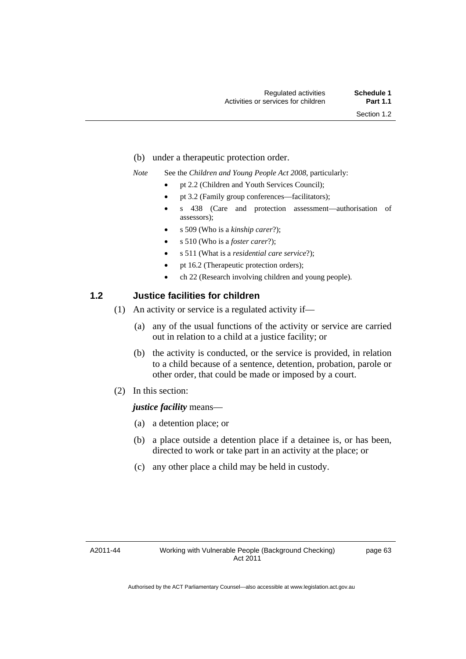- (b) under a therapeutic protection order.
- *Note* See the *Children and Young People Act 2008*, particularly:
	- pt 2.2 (Children and Youth Services Council);
	- pt 3.2 (Family group conferences—facilitators);
	- s 438 (Care and protection assessment—authorisation of assessors);
	- s 509 (Who is a *kinship carer*?);
	- s 510 (Who is a *foster carer*?);
	- s 511 (What is a *residential care service*?);
	- pt 16.2 (Therapeutic protection orders);
	- ch 22 (Research involving children and young people).

## **1.2 Justice facilities for children**

- (1) An activity or service is a regulated activity if—
	- (a) any of the usual functions of the activity or service are carried out in relation to a child at a justice facility; or
	- (b) the activity is conducted, or the service is provided, in relation to a child because of a sentence, detention, probation, parole or other order, that could be made or imposed by a court.
- (2) In this section:

#### *justice facility* means—

- (a) a detention place; or
- (b) a place outside a detention place if a detainee is, or has been, directed to work or take part in an activity at the place; or
- (c) any other place a child may be held in custody.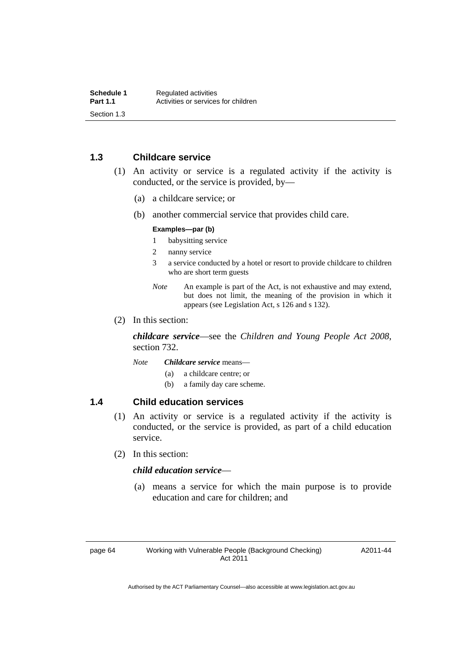## **1.3 Childcare service**

- (1) An activity or service is a regulated activity if the activity is conducted, or the service is provided, by—
	- (a) a childcare service; or
	- (b) another commercial service that provides child care.

#### **Examples—par (b)**

- 1 babysitting service
- 2 nanny service
- 3 a service conducted by a hotel or resort to provide childcare to children who are short term guests
- *Note* An example is part of the Act, is not exhaustive and may extend, but does not limit, the meaning of the provision in which it appears (see Legislation Act, s 126 and s 132).
- (2) In this section:

*childcare service*—see the *Children and Young People Act 2008*, section 732.

*Note Childcare service* means—

- (a) a childcare centre; or
- (b) a family day care scheme.

#### **1.4 Child education services**

- (1) An activity or service is a regulated activity if the activity is conducted, or the service is provided, as part of a child education service.
- (2) In this section:

#### *child education service*—

 (a) means a service for which the main purpose is to provide education and care for children; and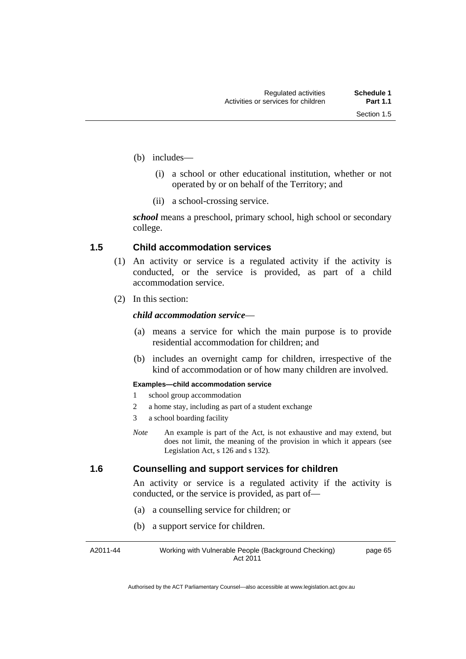- (b) includes—
	- (i) a school or other educational institution, whether or not operated by or on behalf of the Territory; and
	- (ii) a school-crossing service.

*school* means a preschool, primary school, high school or secondary college.

## **1.5 Child accommodation services**

- (1) An activity or service is a regulated activity if the activity is conducted, or the service is provided, as part of a child accommodation service.
- (2) In this section:

#### *child accommodation service*—

- (a) means a service for which the main purpose is to provide residential accommodation for children; and
- (b) includes an overnight camp for children, irrespective of the kind of accommodation or of how many children are involved.

#### **Examples—child accommodation service**

- 1 school group accommodation
- 2 a home stay, including as part of a student exchange
- 3 a school boarding facility
- *Note* An example is part of the Act, is not exhaustive and may extend, but does not limit, the meaning of the provision in which it appears (see Legislation Act, s 126 and s 132).

## **1.6 Counselling and support services for children**

An activity or service is a regulated activity if the activity is conducted, or the service is provided, as part of—

- (a) a counselling service for children; or
- (b) a support service for children.

A2011-44 Working with Vulnerable People (Background Checking) Act 2011 page 65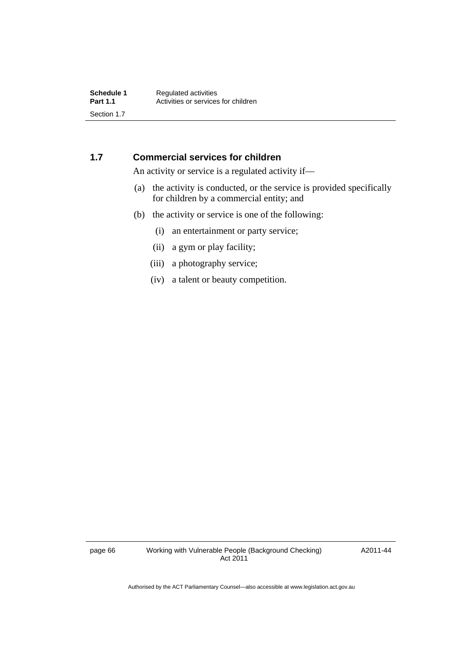## **1.7 Commercial services for children**

An activity or service is a regulated activity if—

- (a) the activity is conducted, or the service is provided specifically for children by a commercial entity; and
- (b) the activity or service is one of the following:
	- (i) an entertainment or party service;
	- (ii) a gym or play facility;
	- (iii) a photography service;
	- (iv) a talent or beauty competition.

page 66 Working with Vulnerable People (Background Checking) Act 2011

A2011-44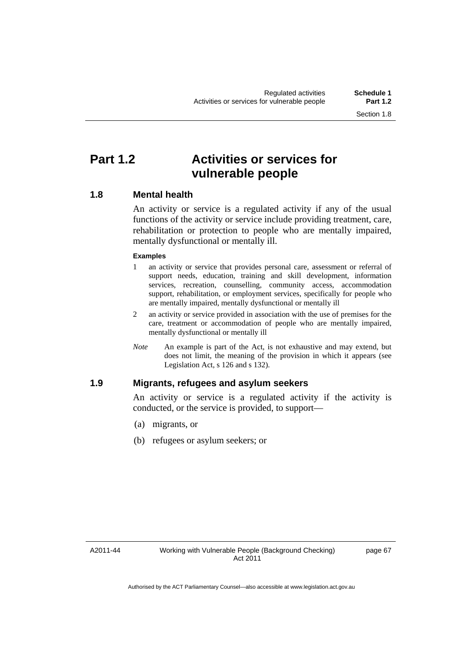## **Part 1.2 Activities or services for vulnerable people**

### **1.8 Mental health**

An activity or service is a regulated activity if any of the usual functions of the activity or service include providing treatment, care, rehabilitation or protection to people who are mentally impaired, mentally dysfunctional or mentally ill.

#### **Examples**

- 1 an activity or service that provides personal care, assessment or referral of support needs, education, training and skill development, information services, recreation, counselling, community access, accommodation support, rehabilitation, or employment services, specifically for people who are mentally impaired, mentally dysfunctional or mentally ill
- 2 an activity or service provided in association with the use of premises for the care, treatment or accommodation of people who are mentally impaired, mentally dysfunctional or mentally ill
- *Note* An example is part of the Act, is not exhaustive and may extend, but does not limit, the meaning of the provision in which it appears (see Legislation Act, s 126 and s 132).

### **1.9 Migrants, refugees and asylum seekers**

An activity or service is a regulated activity if the activity is conducted, or the service is provided, to support—

- (a) migrants, or
- (b) refugees or asylum seekers; or

A2011-44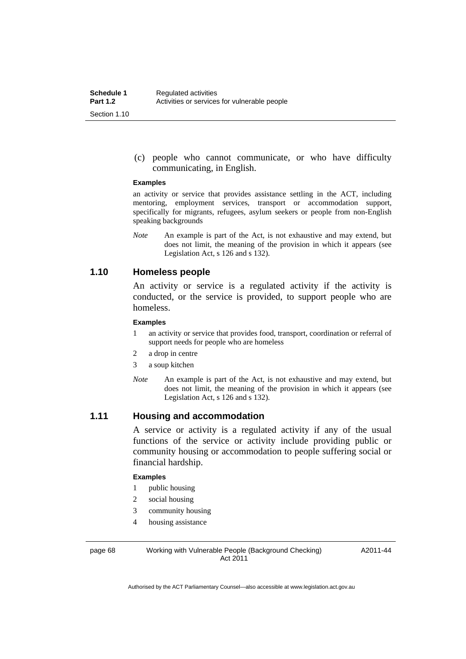(c) people who cannot communicate, or who have difficulty communicating, in English.

#### **Examples**

an activity or service that provides assistance settling in the ACT, including mentoring, employment services, transport or accommodation support, specifically for migrants, refugees, asylum seekers or people from non-English speaking backgrounds

*Note* An example is part of the Act, is not exhaustive and may extend, but does not limit, the meaning of the provision in which it appears (see Legislation Act, s 126 and s 132).

### **1.10 Homeless people**

An activity or service is a regulated activity if the activity is conducted, or the service is provided, to support people who are homeless.

#### **Examples**

- 1 an activity or service that provides food, transport, coordination or referral of support needs for people who are homeless
- 2 a drop in centre
- 3 a soup kitchen
- *Note* An example is part of the Act, is not exhaustive and may extend, but does not limit, the meaning of the provision in which it appears (see Legislation Act, s 126 and s 132).

### **1.11 Housing and accommodation**

A service or activity is a regulated activity if any of the usual functions of the service or activity include providing public or community housing or accommodation to people suffering social or financial hardship.

#### **Examples**

- 1 public housing
- 2 social housing
- 3 community housing
- 4 housing assistance

page 68 Working with Vulnerable People (Background Checking) Act 2011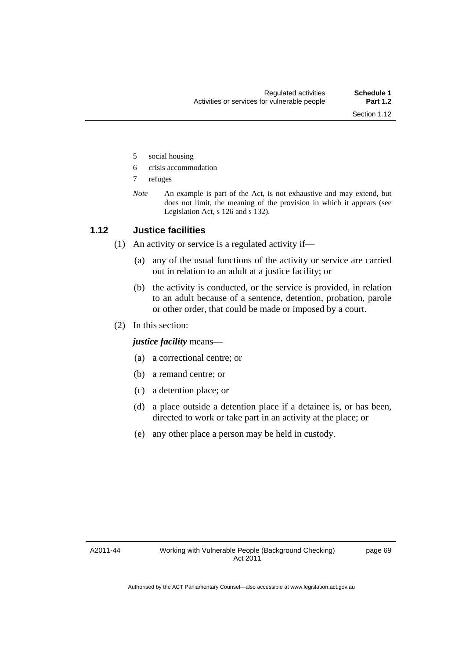- 5 social housing
- 6 crisis accommodation
- 7 refuges
- *Note* An example is part of the Act, is not exhaustive and may extend, but does not limit, the meaning of the provision in which it appears (see Legislation Act, s 126 and s 132).

### **1.12 Justice facilities**

(1) An activity or service is a regulated activity if—

- (a) any of the usual functions of the activity or service are carried out in relation to an adult at a justice facility; or
- (b) the activity is conducted, or the service is provided, in relation to an adult because of a sentence, detention, probation, parole or other order, that could be made or imposed by a court.
- (2) In this section:

*justice facility* means—

- (a) a correctional centre; or
- (b) a remand centre; or
- (c) a detention place; or
- (d) a place outside a detention place if a detainee is, or has been, directed to work or take part in an activity at the place; or
- (e) any other place a person may be held in custody.

A2011-44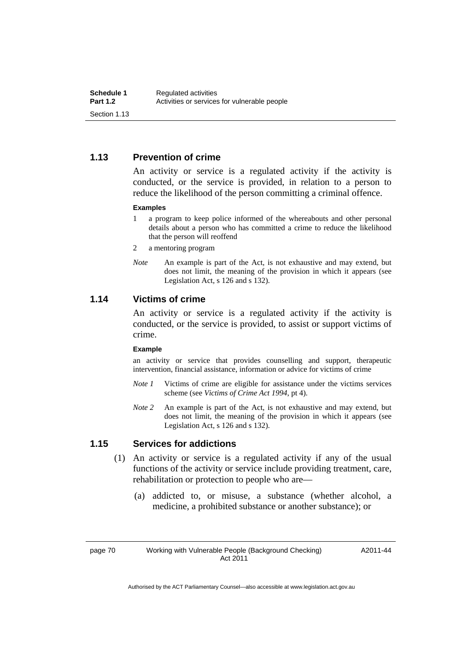### **1.13 Prevention of crime**

An activity or service is a regulated activity if the activity is conducted, or the service is provided, in relation to a person to reduce the likelihood of the person committing a criminal offence.

#### **Examples**

- 1 a program to keep police informed of the whereabouts and other personal details about a person who has committed a crime to reduce the likelihood that the person will reoffend
- 2 a mentoring program
- *Note* An example is part of the Act, is not exhaustive and may extend, but does not limit, the meaning of the provision in which it appears (see Legislation Act, s 126 and s 132).

### **1.14 Victims of crime**

An activity or service is a regulated activity if the activity is conducted, or the service is provided, to assist or support victims of crime.

#### **Example**

an activity or service that provides counselling and support, therapeutic intervention, financial assistance, information or advice for victims of crime

- *Note 1* Victims of crime are eligible for assistance under the victims services scheme (see *Victims of Crime Act 1994*, pt 4).
- *Note 2* An example is part of the Act, is not exhaustive and may extend, but does not limit, the meaning of the provision in which it appears (see Legislation Act, s 126 and s 132).

### **1.15 Services for addictions**

- (1) An activity or service is a regulated activity if any of the usual functions of the activity or service include providing treatment, care, rehabilitation or protection to people who are—
	- (a) addicted to, or misuse, a substance (whether alcohol, a medicine, a prohibited substance or another substance); or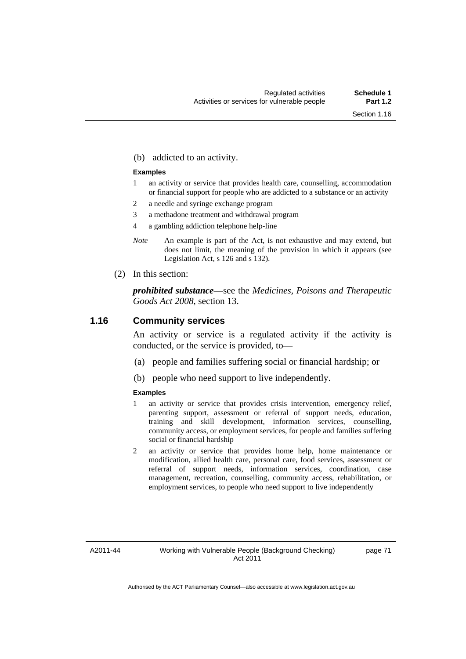(b) addicted to an activity.

#### **Examples**

- 1 an activity or service that provides health care, counselling, accommodation or financial support for people who are addicted to a substance or an activity
- 2 a needle and syringe exchange program
- 3 a methadone treatment and withdrawal program
- 4 a gambling addiction telephone help-line
- *Note* An example is part of the Act, is not exhaustive and may extend, but does not limit, the meaning of the provision in which it appears (see Legislation Act, s 126 and s 132).
- (2) In this section:

*prohibited substance*—see the *Medicines, Poisons and Therapeutic Goods Act 2008*, section 13.

#### **1.16 Community services**

An activity or service is a regulated activity if the activity is conducted, or the service is provided, to—

- (a) people and families suffering social or financial hardship; or
- (b) people who need support to live independently.

#### **Examples**

- 1 an activity or service that provides crisis intervention, emergency relief, parenting support, assessment or referral of support needs, education, training and skill development, information services, counselling, community access, or employment services, for people and families suffering social or financial hardship
- 2 an activity or service that provides home help, home maintenance or modification, allied health care, personal care, food services, assessment or referral of support needs, information services, coordination, case management, recreation, counselling, community access, rehabilitation, or employment services, to people who need support to live independently

A2011-44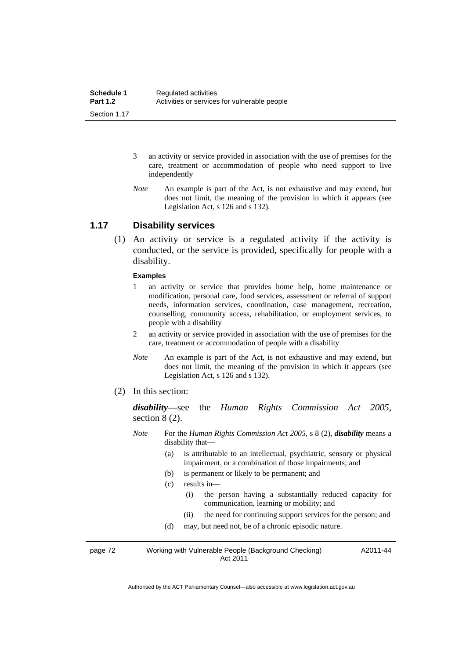- 3 an activity or service provided in association with the use of premises for the care, treatment or accommodation of people who need support to live independently
- *Note* An example is part of the Act, is not exhaustive and may extend, but does not limit, the meaning of the provision in which it appears (see Legislation Act, s 126 and s 132).

#### **1.17 Disability services**

 (1) An activity or service is a regulated activity if the activity is conducted, or the service is provided, specifically for people with a disability.

#### **Examples**

- 1 an activity or service that provides home help, home maintenance or modification, personal care, food services, assessment or referral of support needs, information services, coordination, case management, recreation, counselling, community access, rehabilitation, or employment services, to people with a disability
- 2 an activity or service provided in association with the use of premises for the care, treatment or accommodation of people with a disability
- *Note* An example is part of the Act, is not exhaustive and may extend, but does not limit, the meaning of the provision in which it appears (see Legislation Act, s 126 and s 132).
- (2) In this section:

*disability*—see the *Human Rights Commission Act 2005*, section 8 (2).

- *Note* For the *Human Rights Commission Act 2005*, s 8 (2), *disability* means a disability that—
	- (a) is attributable to an intellectual, psychiatric, sensory or physical impairment, or a combination of those impairments; and
	- (b) is permanent or likely to be permanent; and
	- (c) results in—
		- (i) the person having a substantially reduced capacity for communication, learning or mobility; and
		- (ii) the need for continuing support services for the person; and
	- (d) may, but need not, be of a chronic episodic nature.

page 72 Working with Vulnerable People (Background Checking) Act 2011 A2011-44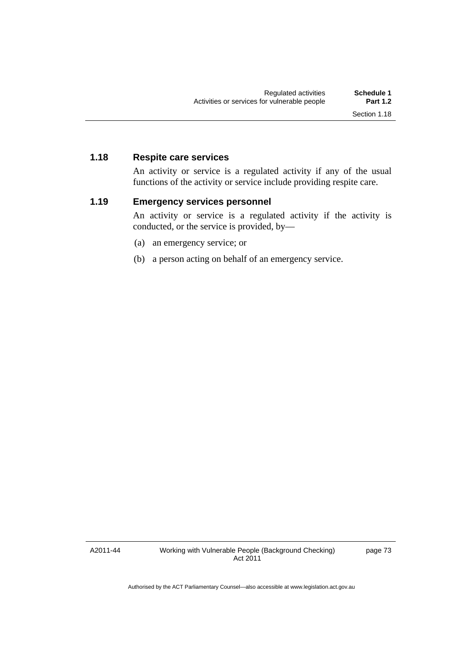### **1.18 Respite care services**

An activity or service is a regulated activity if any of the usual functions of the activity or service include providing respite care.

### **1.19 Emergency services personnel**

An activity or service is a regulated activity if the activity is conducted, or the service is provided, by—

- (a) an emergency service; or
- (b) a person acting on behalf of an emergency service.

A2011-44

Working with Vulnerable People (Background Checking) Act 2011

page 73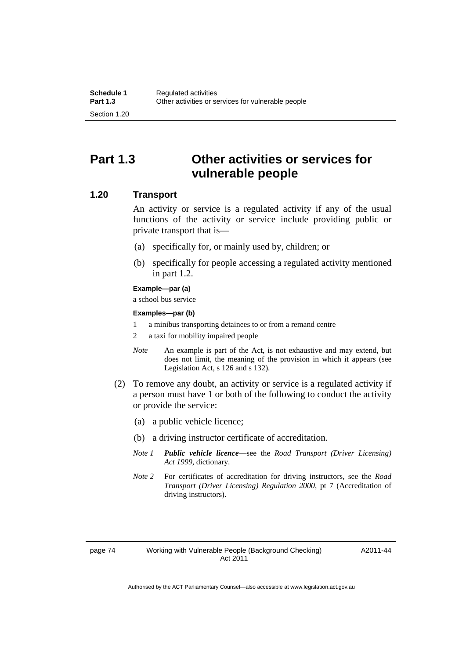## **Part 1.3 Other activities or services for vulnerable people**

### **1.20 Transport**

An activity or service is a regulated activity if any of the usual functions of the activity or service include providing public or private transport that is—

- (a) specifically for, or mainly used by, children; or
- (b) specifically for people accessing a regulated activity mentioned in part 1.2.

#### **Example—par (a)**

a school bus service

#### **Examples—par (b)**

- 1 a minibus transporting detainees to or from a remand centre
- 2 a taxi for mobility impaired people
- *Note* An example is part of the Act, is not exhaustive and may extend, but does not limit, the meaning of the provision in which it appears (see Legislation Act, s 126 and s 132).
- (2) To remove any doubt, an activity or service is a regulated activity if a person must have 1 or both of the following to conduct the activity or provide the service:
	- (a) a public vehicle licence;
	- (b) a driving instructor certificate of accreditation.
	- *Note 1 Public vehicle licence*—see the *Road Transport (Driver Licensing) Act 1999*, dictionary.
	- *Note 2* For certificates of accreditation for driving instructors, see the *Road Transport (Driver Licensing) Regulation 2000*, pt 7 (Accreditation of driving instructors).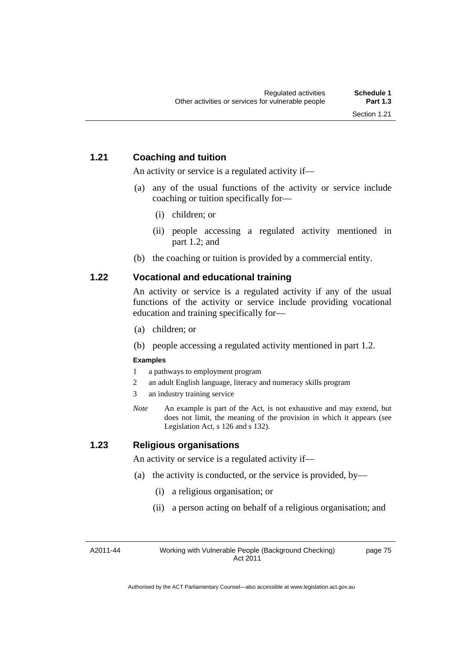## **1.21 Coaching and tuition**

An activity or service is a regulated activity if—

- (a) any of the usual functions of the activity or service include coaching or tuition specifically for—
	- (i) children; or
	- (ii) people accessing a regulated activity mentioned in part 1.2; and
- (b) the coaching or tuition is provided by a commercial entity.

## **1.22 Vocational and educational training**

An activity or service is a regulated activity if any of the usual functions of the activity or service include providing vocational education and training specifically for—

- (a) children; or
- (b) people accessing a regulated activity mentioned in part 1.2.

### **Examples**

- 1 a pathways to employment program
- 2 an adult English language, literacy and numeracy skills program
- 3 an industry training service
- *Note* An example is part of the Act, is not exhaustive and may extend, but does not limit, the meaning of the provision in which it appears (see Legislation Act, s 126 and s 132).

## **1.23 Religious organisations**

An activity or service is a regulated activity if—

- (a) the activity is conducted, or the service is provided, by—
	- (i) a religious organisation; or
	- (ii) a person acting on behalf of a religious organisation; and

A2011-44

Working with Vulnerable People (Background Checking) Act 2011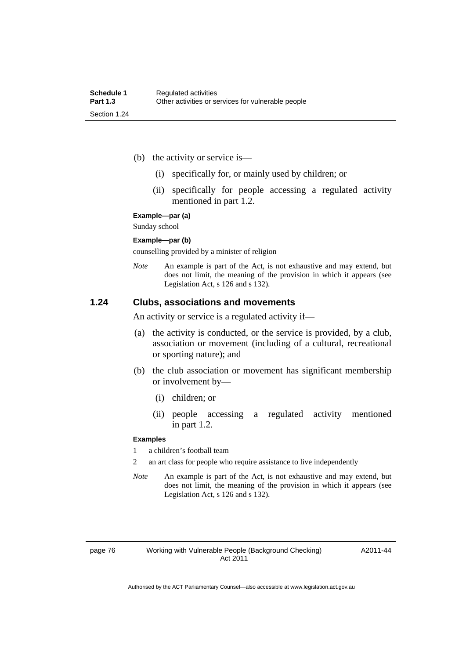- (b) the activity or service is—
	- (i) specifically for, or mainly used by children; or
	- (ii) specifically for people accessing a regulated activity mentioned in part 1.2.

#### **Example—par (a)**

Sunday school

#### **Example—par (b)**

counselling provided by a minister of religion

*Note* An example is part of the Act, is not exhaustive and may extend, but does not limit, the meaning of the provision in which it appears (see Legislation Act, s 126 and s 132).

#### **1.24 Clubs, associations and movements**

An activity or service is a regulated activity if—

- (a) the activity is conducted, or the service is provided, by a club, association or movement (including of a cultural, recreational or sporting nature); and
- (b) the club association or movement has significant membership or involvement by—
	- (i) children; or
	- (ii) people accessing a regulated activity mentioned in part 1.2.

#### **Examples**

1 a children's football team

- 2 an art class for people who require assistance to live independently
- *Note* An example is part of the Act, is not exhaustive and may extend, but does not limit, the meaning of the provision in which it appears (see Legislation Act, s 126 and s 132).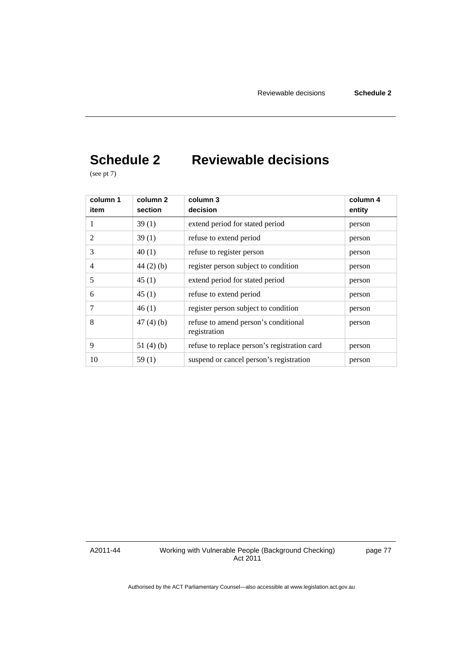# **Schedule 2 Reviewable decisions**

(see pt 7)

| column 1<br>item | column <sub>2</sub><br>section | column 3<br>decision                                 | column 4<br>entity |
|------------------|--------------------------------|------------------------------------------------------|--------------------|
|                  | 39(1)                          | extend period for stated period                      | person             |
| 2                | 39(1)                          | refuse to extend period                              | person             |
| 3                | 40(1)                          | refuse to register person                            | person             |
| $\overline{4}$   | $44(2)$ (b)                    | register person subject to condition                 | person             |
| 5                | 45(1)                          | extend period for stated period                      | person             |
| 6                | 45(1)                          | refuse to extend period                              | person             |
| 7                | 46(1)                          | register person subject to condition                 | person             |
| 8                | 47(4)(b)                       | refuse to amend person's conditional<br>registration | person             |
| 9                | 51 $(4)(b)$                    | refuse to replace person's registration card         | person             |
| 10               | 59(1)                          | suspend or cancel person's registration              | person             |

A2011-44

Working with Vulnerable People (Background Checking) Act 2011

page 77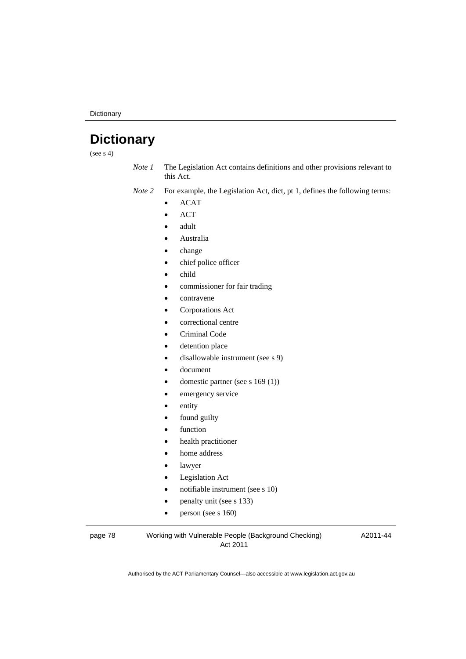**Dictionary** 

# **Dictionary**

(see  $s$  4)

*Note 1* The Legislation Act contains definitions and other provisions relevant to this Act.

*Note 2* For example, the Legislation Act, dict, pt 1, defines the following terms:

- $\bullet$  ACAT
- ACT
- adult
- Australia
- change
- chief police officer
- child
- commissioner for fair trading
- contravene
- Corporations Act
- correctional centre
- Criminal Code
- detention place
- disallowable instrument (see s 9)
- document
- domestic partner (see s 169 (1))
- emergency service
- entity
- found guilty
- function
- health practitioner
- home address
- lawyer
- Legislation Act
- notifiable instrument (see s 10)
- penalty unit (see s 133)
- $\bullet$  person (see s 160)

page 78 Working with Vulnerable People (Background Checking) Act 2011

A2011-44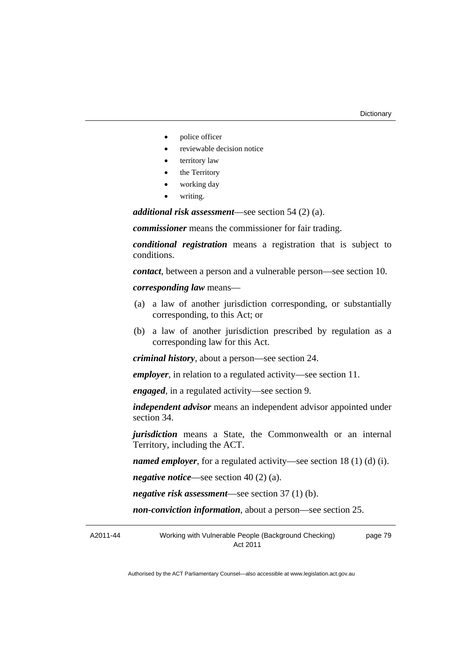- police officer
- reviewable decision notice
- territory law
- the Territory
- working day
- writing.

*additional risk assessment*—see section 54 (2) (a).

*commissioner* means the commissioner for fair trading.

*conditional registration* means a registration that is subject to conditions.

*contact*, between a person and a vulnerable person—see section 10.

*corresponding law* means—

- (a) a law of another jurisdiction corresponding, or substantially corresponding, to this Act; or
- (b) a law of another jurisdiction prescribed by regulation as a corresponding law for this Act.

*criminal history*, about a person—see section 24.

*employer*, in relation to a regulated activity—see section 11.

*engaged*, in a regulated activity—see section 9.

*independent advisor* means an independent advisor appointed under section 34.

*jurisdiction* means a State, the Commonwealth or an internal Territory, including the ACT.

*named employer*, for a regulated activity—see section 18 (1) (d) (i).

*negative notice*—see section 40 (2) (a).

*negative risk assessment*—see section 37 (1) (b).

*non-conviction information*, about a person—see section 25.

A2011-44 Working with Vulnerable People (Background Checking) Act 2011 page 79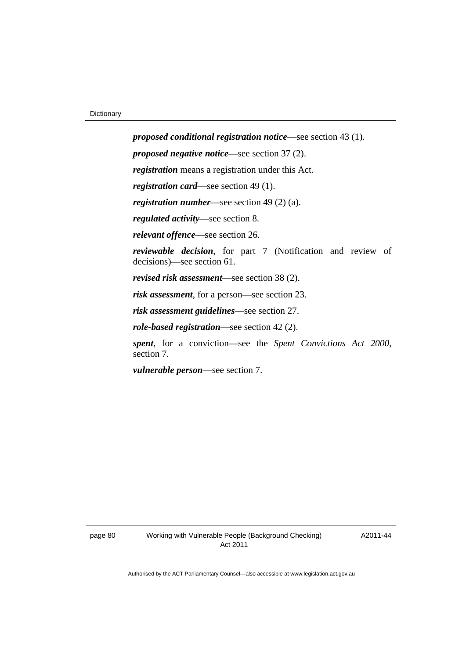*proposed conditional registration notice*—see section 43 (1). *proposed negative notice*—see section 37 (2). *registration* means a registration under this Act. *registration card*—see section 49 (1). *registration number*—see section 49 (2) (a). *regulated activity*—see section 8. *relevant offence*—see section 26. *reviewable decision*, for part 7 (Notification and review of decisions)—see section 61. *revised risk assessment*—see section 38 (2). *risk assessment*, for a person—see section 23. *risk assessment guidelines*—see section 27. *role-based registration*—see section 42 (2). *spent*, for a conviction—see the *Spent Convictions Act 2000*, section 7.

*vulnerable person*—see section 7.

A2011-44